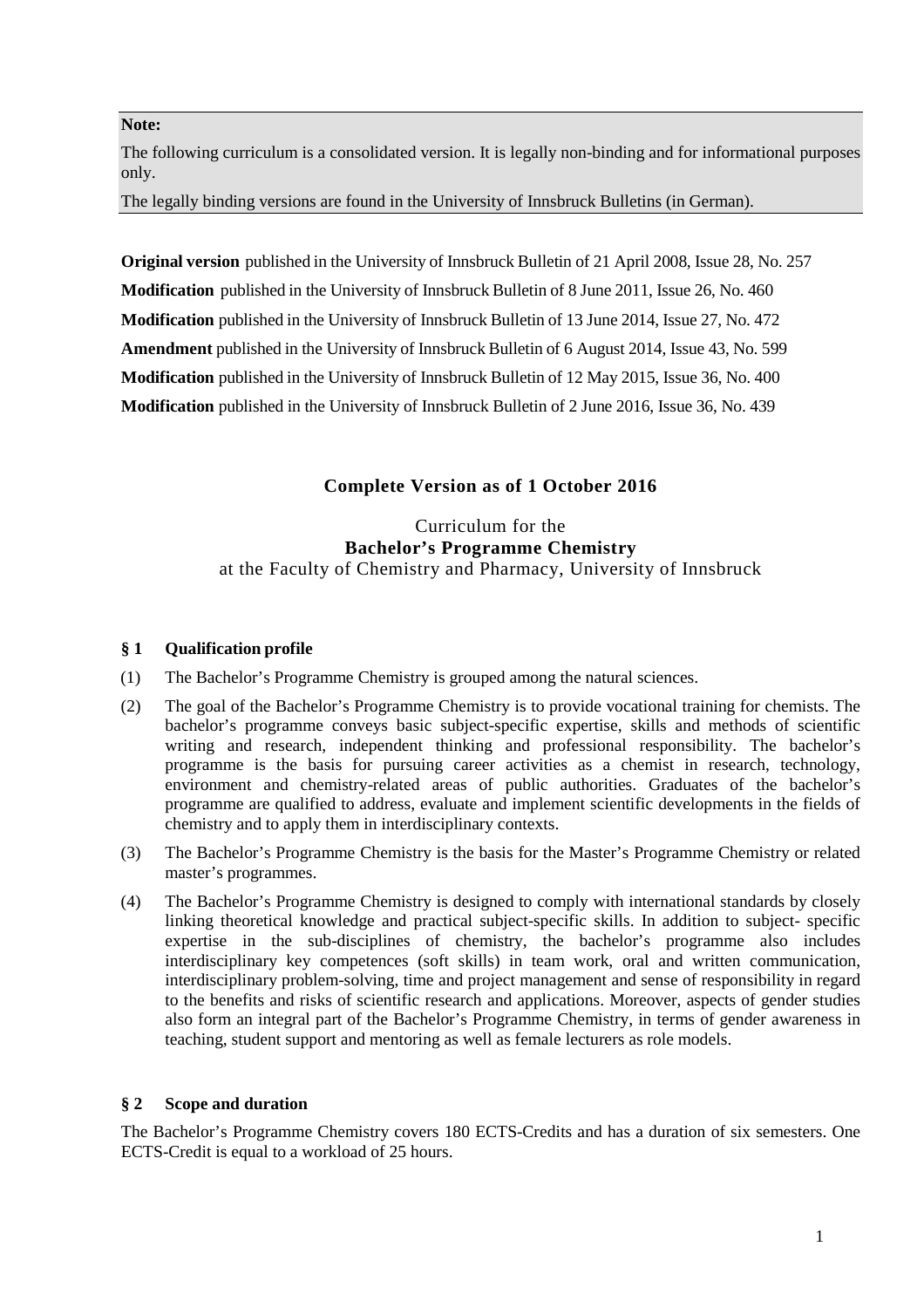#### **Note:**

The following curriculum is a consolidated version. It is legally non-binding and for informational purposes only.

The legally binding versions are found in the University of Innsbruck Bulletins (in German).

**Original version** published in the University of Innsbruck Bulletin of 21 April 2008, Issue 28, No. 257 **Modification** published in the University of Innsbruck Bulletin of 8 June 2011, Issue 26, No. 460 **Modification** published in the University of Innsbruck Bulletin of 13 June 2014, Issue 27, No. 472 **Amendment** published in the University of Innsbruck Bulletin of 6 August 2014, Issue 43, No. 599 **Modification** published in the University of Innsbruck Bulletin of 12 May 2015, Issue 36, No. 400 **Modification** published in the University of Innsbruck Bulletin of 2 June 2016, Issue 36, No. 439

# **Complete Version as of 1 October 2016**

# Curriculum for the **Bachelor's Programme Chemistry** at the Faculty of Chemistry and Pharmacy, University of Innsbruck

### **§ 1 Qualification profile**

- (1) The Bachelor's Programme Chemistry is grouped among the natural sciences.
- (2) The goal of the Bachelor's Programme Chemistry is to provide vocational training for chemists. The bachelor's programme conveys basic subject-specific expertise, skills and methods of scientific writing and research, independent thinking and professional responsibility. The bachelor's programme is the basis for pursuing career activities as a chemist in research, technology, environment and chemistry-related areas of public authorities. Graduates of the bachelor's programme are qualified to address, evaluate and implement scientific developments in the fields of chemistry and to apply them in interdisciplinary contexts.
- (3) The Bachelor's Programme Chemistry is the basis for the Master's Programme Chemistry or related master's programmes.
- (4) The Bachelor's Programme Chemistry is designed to comply with international standards by closely linking theoretical knowledge and practical subject-specific skills. In addition to subject- specific expertise in the sub-disciplines of chemistry, the bachelor's programme also includes interdisciplinary key competences (soft skills) in team work, oral and written communication, interdisciplinary problem-solving, time and project management and sense of responsibility in regard to the benefits and risks of scientific research and applications. Moreover, aspects of gender studies also form an integral part of the Bachelor's Programme Chemistry, in terms of gender awareness in teaching, student support and mentoring as well as female lecturers as role models.

#### **§ 2 Scope and duration**

The Bachelor's Programme Chemistry covers 180 ECTS-Credits and has a duration of six semesters. One ECTS-Credit is equal to a workload of 25 hours.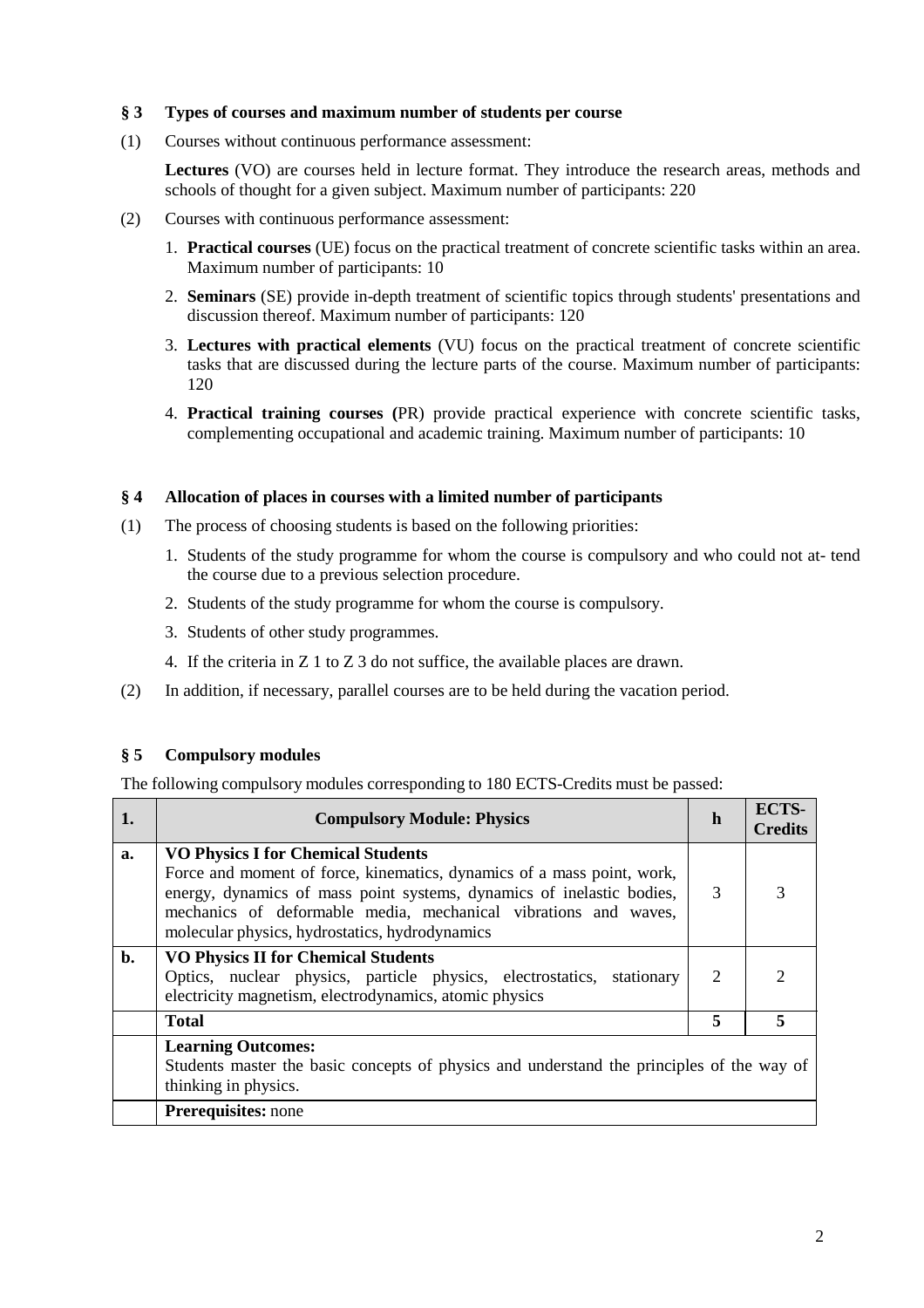## **§ 3 Types of courses and maximum number of students per course**

(1) Courses without continuous performance assessment:

Lectures (VO) are courses held in lecture format. They introduce the research areas, methods and schools of thought for a given subject. Maximum number of participants: 220

- (2) Courses with continuous performance assessment:
	- 1. **Practical courses** (UE) focus on the practical treatment of concrete scientific tasks within an area. Maximum number of participants: 10
	- 2. **Seminars** (SE) provide in-depth treatment of scientific topics through students' presentations and discussion thereof. Maximum number of participants: 120
	- 3. **Lectures with practical elements** (VU) focus on the practical treatment of concrete scientific tasks that are discussed during the lecture parts of the course. Maximum number of participants: 120
	- 4. **Practical training courses (**PR) provide practical experience with concrete scientific tasks, complementing occupational and academic training. Maximum number of participants: 10

#### **§ 4 Allocation of places in courses with a limited number of participants**

- (1) The process of choosing students is based on the following priorities:
	- 1. Students of the study programme for whom the course is compulsory and who could not at- tend the course due to a previous selection procedure.
	- 2. Students of the study programme for whom the course is compulsory.
	- 3. Students of other study programmes.
	- 4. If the criteria in Z 1 to Z 3 do not suffice, the available places are drawn.
- (2) In addition, if necessary, parallel courses are to be held during the vacation period.

#### **§ 5 Compulsory modules**

The following compulsory modules corresponding to 180 ECTS-Credits must be passed:

| 1. | <b>Compulsory Module: Physics</b>                                                                                                                                                                                                                                                                                 | h | <b>ECTS-</b><br><b>Credits</b> |
|----|-------------------------------------------------------------------------------------------------------------------------------------------------------------------------------------------------------------------------------------------------------------------------------------------------------------------|---|--------------------------------|
| a. | <b>VO Physics I for Chemical Students</b><br>Force and moment of force, kinematics, dynamics of a mass point, work,<br>energy, dynamics of mass point systems, dynamics of inelastic bodies,<br>mechanics of deformable media, mechanical vibrations and waves,<br>molecular physics, hydrostatics, hydrodynamics | 3 | 3                              |
| b. | <b>VO Physics II for Chemical Students</b><br>Optics, nuclear physics, particle physics, electrostatics, stationary<br>electricity magnetism, electrodynamics, atomic physics                                                                                                                                     | 2 | 2                              |
|    | <b>Total</b>                                                                                                                                                                                                                                                                                                      | 5 | 5                              |
|    | <b>Learning Outcomes:</b><br>Students master the basic concepts of physics and understand the principles of the way of<br>thinking in physics.                                                                                                                                                                    |   |                                |
|    | Prerequisites: none                                                                                                                                                                                                                                                                                               |   |                                |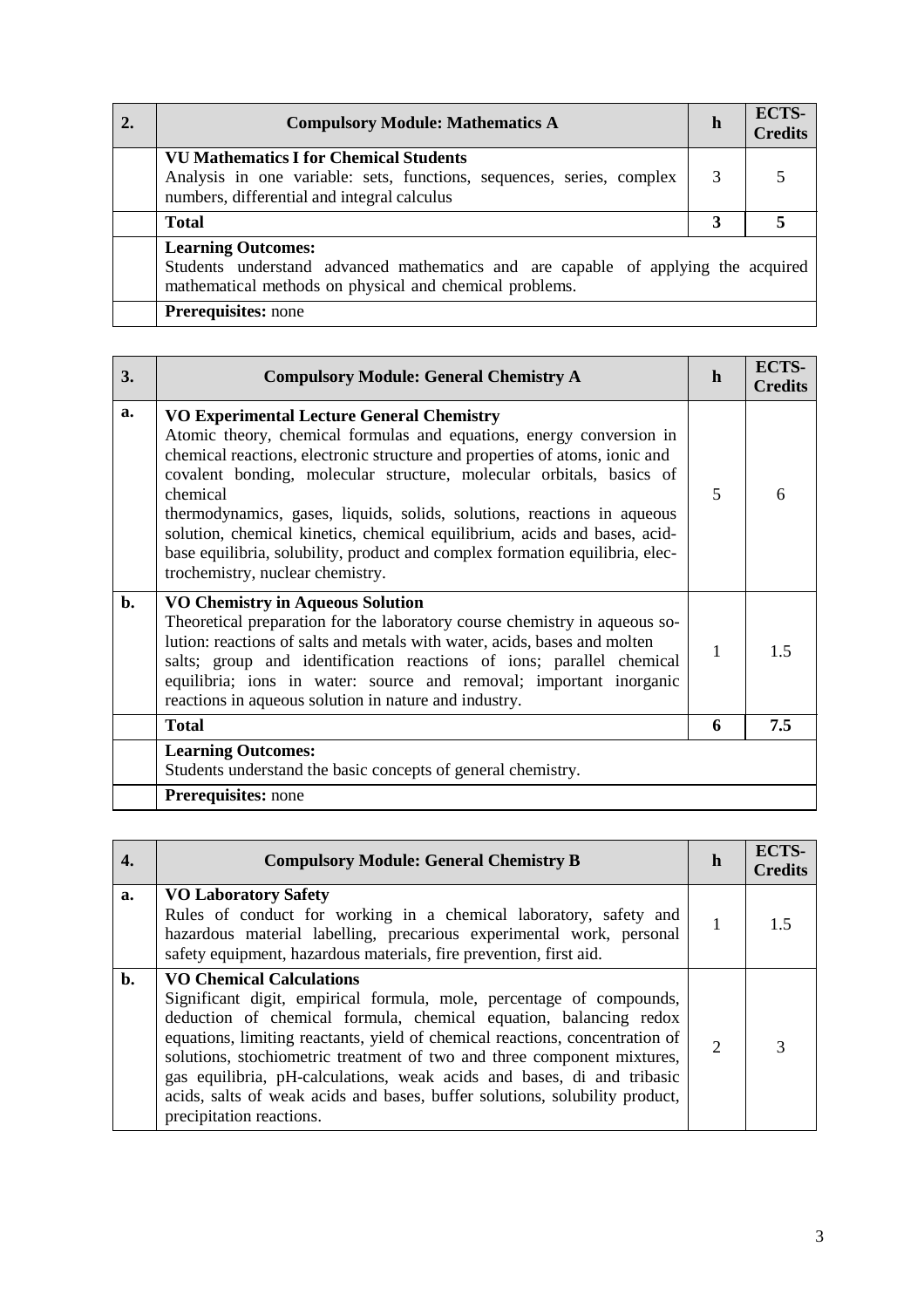| <b>Compulsory Module: Mathematics A</b>                                                                                                                                   | h | ECTS-<br><b>Credits</b> |
|---------------------------------------------------------------------------------------------------------------------------------------------------------------------------|---|-------------------------|
| <b>VU Mathematics I for Chemical Students</b><br>Analysis in one variable: sets, functions, sequences, series, complex<br>numbers, differential and integral calculus     | 3 |                         |
| <b>Total</b>                                                                                                                                                              | 3 |                         |
| <b>Learning Outcomes:</b><br>Students understand advanced mathematics and are capable of applying the acquired<br>mathematical methods on physical and chemical problems. |   |                         |
| <b>Prerequisites:</b> none                                                                                                                                                |   |                         |

| 3.             | <b>Compulsory Module: General Chemistry A</b>                                                                                                                                                                                                                                                                                                                                                                                                                                                                                                                           | $\mathbf h$ | ECTS-<br><b>Credits</b> |
|----------------|-------------------------------------------------------------------------------------------------------------------------------------------------------------------------------------------------------------------------------------------------------------------------------------------------------------------------------------------------------------------------------------------------------------------------------------------------------------------------------------------------------------------------------------------------------------------------|-------------|-------------------------|
| a.             | <b>VO Experimental Lecture General Chemistry</b><br>Atomic theory, chemical formulas and equations, energy conversion in<br>chemical reactions, electronic structure and properties of atoms, ionic and<br>covalent bonding, molecular structure, molecular orbitals, basics of<br>chemical<br>thermodynamics, gases, liquids, solids, solutions, reactions in aqueous<br>solution, chemical kinetics, chemical equilibrium, acids and bases, acid-<br>base equilibria, solubility, product and complex formation equilibria, elec-<br>trochemistry, nuclear chemistry. | 5           | 6                       |
| $\mathbf{b}$ . | <b>VO Chemistry in Aqueous Solution</b><br>Theoretical preparation for the laboratory course chemistry in aqueous so-<br>lution: reactions of salts and metals with water, acids, bases and molten<br>salts; group and identification reactions of ions; parallel chemical<br>equilibria; ions in water: source and removal; important inorganic<br>reactions in aqueous solution in nature and industry.                                                                                                                                                               | 1           | 1.5                     |
|                | <b>Total</b>                                                                                                                                                                                                                                                                                                                                                                                                                                                                                                                                                            | 6           | 7.5                     |
|                | <b>Learning Outcomes:</b><br>Students understand the basic concepts of general chemistry.                                                                                                                                                                                                                                                                                                                                                                                                                                                                               |             |                         |
|                | <b>Prerequisites:</b> none                                                                                                                                                                                                                                                                                                                                                                                                                                                                                                                                              |             |                         |

| 4. | <b>Compulsory Module: General Chemistry B</b>                                                                                                                                                                                                                                                                                                                                                                                                                                                                                | h                           | ECTS-<br><b>Credits</b> |
|----|------------------------------------------------------------------------------------------------------------------------------------------------------------------------------------------------------------------------------------------------------------------------------------------------------------------------------------------------------------------------------------------------------------------------------------------------------------------------------------------------------------------------------|-----------------------------|-------------------------|
| a. | <b>VO Laboratory Safety</b><br>Rules of conduct for working in a chemical laboratory, safety and<br>hazardous material labelling, precarious experimental work, personal<br>safety equipment, hazardous materials, fire prevention, first aid.                                                                                                                                                                                                                                                                               |                             | 15                      |
| b. | <b>VO Chemical Calculations</b><br>Significant digit, empirical formula, mole, percentage of compounds,<br>deduction of chemical formula, chemical equation, balancing redox<br>equations, limiting reactants, yield of chemical reactions, concentration of<br>solutions, stochiometric treatment of two and three component mixtures,<br>gas equilibria, pH-calculations, weak acids and bases, di and tribasic<br>acids, salts of weak acids and bases, buffer solutions, solubility product,<br>precipitation reactions. | $\mathcal{D}_{\mathcal{L}}$ |                         |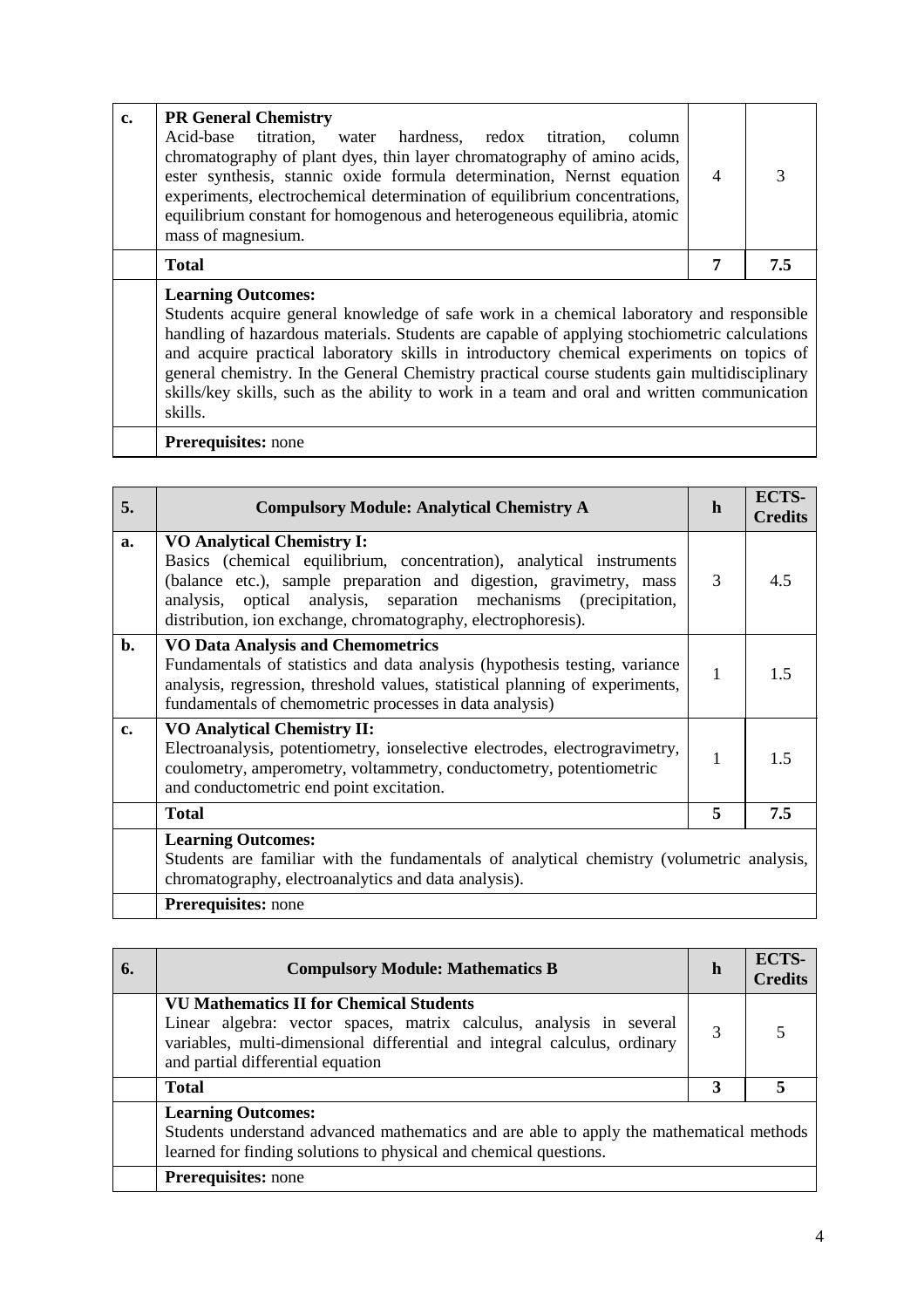| <b>Total</b><br>7<br>7.5<br><b>Learning Outcomes:</b><br>Students acquire general knowledge of safe work in a chemical laboratory and responsible<br>handling of hazardous materials. Students are capable of applying stochiometric calculations<br>and acquire practical laboratory skills in introductory chemical experiments on topics of<br>general chemistry. In the General Chemistry practical course students gain multidisciplinary<br>skills/key skills, such as the ability to work in a team and oral and written communication<br>skills. | $c_{\bullet}$ | <b>PR General Chemistry</b><br>Acid-base titration, water hardness, redox titration,<br>column<br>chromatography of plant dyes, thin layer chromatography of amino acids,<br>ester synthesis, stannic oxide formula determination, Nernst equation<br>experiments, electrochemical determination of equilibrium concentrations,<br>equilibrium constant for homogenous and heterogeneous equilibria, atomic<br>mass of magnesium. | $\overline{4}$ | 3 |
|----------------------------------------------------------------------------------------------------------------------------------------------------------------------------------------------------------------------------------------------------------------------------------------------------------------------------------------------------------------------------------------------------------------------------------------------------------------------------------------------------------------------------------------------------------|---------------|-----------------------------------------------------------------------------------------------------------------------------------------------------------------------------------------------------------------------------------------------------------------------------------------------------------------------------------------------------------------------------------------------------------------------------------|----------------|---|
|                                                                                                                                                                                                                                                                                                                                                                                                                                                                                                                                                          |               |                                                                                                                                                                                                                                                                                                                                                                                                                                   |                |   |
|                                                                                                                                                                                                                                                                                                                                                                                                                                                                                                                                                          |               | <b>Prerequisites:</b> none                                                                                                                                                                                                                                                                                                                                                                                                        |                |   |

| 5.             | <b>Compulsory Module: Analytical Chemistry A</b>                                                                                                                                                                                                                                                                      | h            | ECTS-<br><b>Credits</b> |
|----------------|-----------------------------------------------------------------------------------------------------------------------------------------------------------------------------------------------------------------------------------------------------------------------------------------------------------------------|--------------|-------------------------|
| a.             | <b>VO Analytical Chemistry I:</b><br>Basics (chemical equilibrium, concentration), analytical instruments<br>(balance etc.), sample preparation and digestion, gravimetry, mass<br>analysis, optical analysis, separation mechanisms (precipitation,<br>distribution, ion exchange, chromatography, electrophoresis). | 3            | 4.5                     |
| $\mathbf{b}$ . | <b>VO Data Analysis and Chemometrics</b><br>Fundamentals of statistics and data analysis (hypothesis testing, variance<br>analysis, regression, threshold values, statistical planning of experiments,<br>fundamentals of chemometric processes in data analysis)                                                     | $\mathbf{1}$ | 1.5                     |
| c.             | <b>VO Analytical Chemistry II:</b><br>Electroanalysis, potentiometry, ionselective electrodes, electrogravimetry,<br>coulometry, amperometry, voltammetry, conductometry, potentiometric<br>and conductometric end point excitation.                                                                                  | 1            | 1.5                     |
|                | <b>Total</b>                                                                                                                                                                                                                                                                                                          | 5            | 7.5                     |
|                | <b>Learning Outcomes:</b><br>Students are familiar with the fundamentals of analytical chemistry (volumetric analysis,<br>chromatography, electroanalytics and data analysis).<br><b>Prerequisites:</b> none                                                                                                          |              |                         |

| 6. | <b>Compulsory Module: Mathematics B</b>                                                                                                                                                                                                 | $\mathbf h$ | ECTS-<br><b>Credits</b> |
|----|-----------------------------------------------------------------------------------------------------------------------------------------------------------------------------------------------------------------------------------------|-------------|-------------------------|
|    | <b>VU Mathematics II for Chemical Students</b><br>Linear algebra: vector spaces, matrix calculus, analysis in several<br>variables, multi-dimensional differential and integral calculus, ordinary<br>and partial differential equation | 3           |                         |
|    | <b>Total</b>                                                                                                                                                                                                                            | 3           |                         |
|    | <b>Learning Outcomes:</b><br>Students understand advanced mathematics and are able to apply the mathematical methods<br>learned for finding solutions to physical and chemical questions.                                               |             |                         |
|    | <b>Prerequisites:</b> none                                                                                                                                                                                                              |             |                         |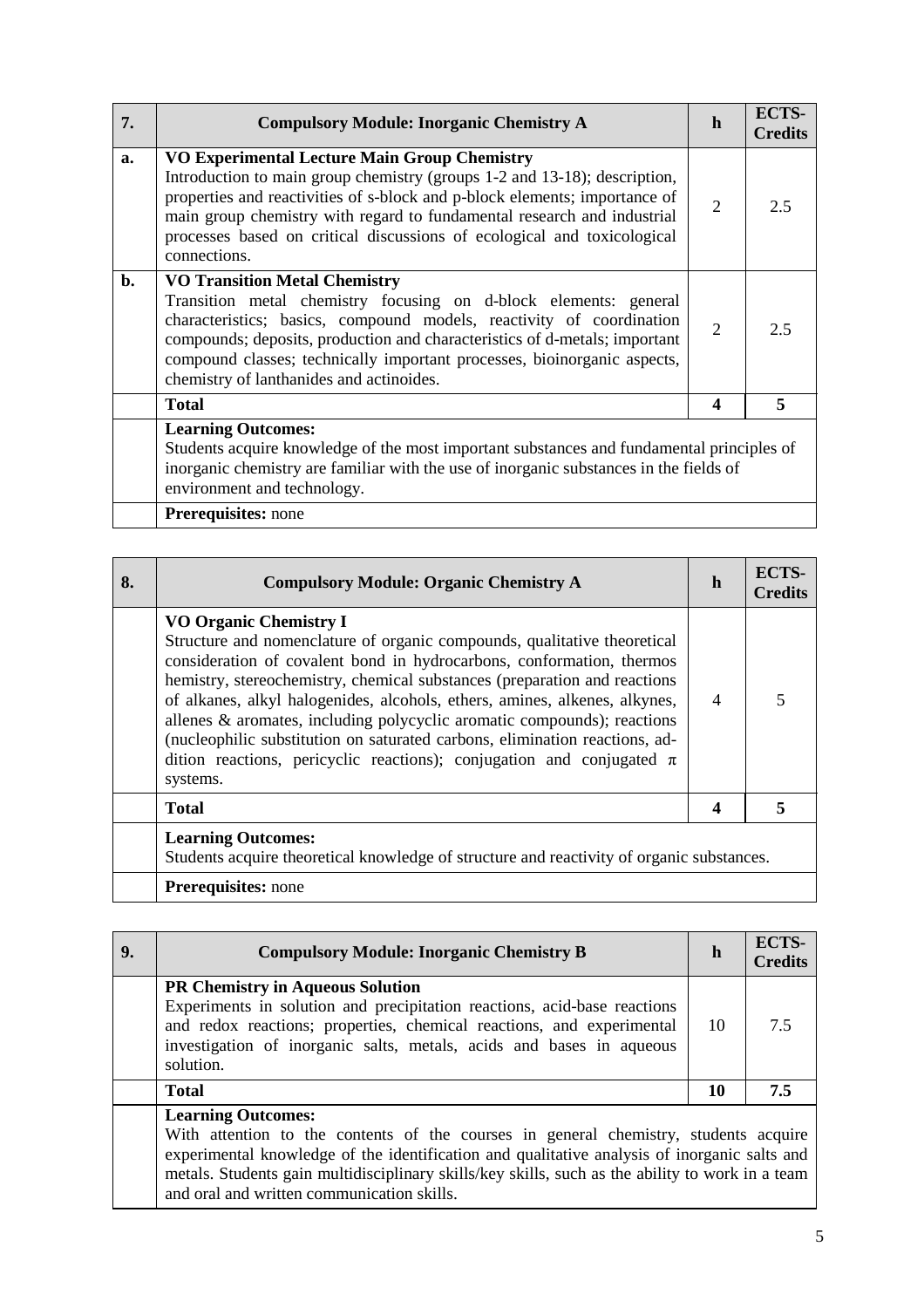| 7.             | <b>Compulsory Module: Inorganic Chemistry A</b>                                                                                                                                                                                                                                                                                                                                        | h                | ECTS-<br><b>Credits</b> |
|----------------|----------------------------------------------------------------------------------------------------------------------------------------------------------------------------------------------------------------------------------------------------------------------------------------------------------------------------------------------------------------------------------------|------------------|-------------------------|
| a.             | VO Experimental Lecture Main Group Chemistry<br>Introduction to main group chemistry (groups 1-2 and 13-18); description,<br>properties and reactivities of s-block and p-block elements; importance of<br>main group chemistry with regard to fundamental research and industrial<br>processes based on critical discussions of ecological and toxicological<br>connections.          | 2                | 2.5                     |
| $\mathbf{b}$ . | <b>VO Transition Metal Chemistry</b><br>Transition metal chemistry focusing on d-block elements: general<br>characteristics; basics, compound models, reactivity of coordination<br>compounds; deposits, production and characteristics of d-metals; important<br>compound classes; technically important processes, bioinorganic aspects,<br>chemistry of lanthanides and actinoides. | $\overline{2}$   | 2.5                     |
|                | <b>Total</b>                                                                                                                                                                                                                                                                                                                                                                           | $\boldsymbol{4}$ | 5                       |
|                | <b>Learning Outcomes:</b><br>Students acquire knowledge of the most important substances and fundamental principles of<br>inorganic chemistry are familiar with the use of inorganic substances in the fields of<br>environment and technology.<br><b>Prerequisites:</b> none                                                                                                          |                  |                         |
|                |                                                                                                                                                                                                                                                                                                                                                                                        |                  |                         |

| 8. | <b>Compulsory Module: Organic Chemistry A</b>                                                                                                                                                                                                                                                                                                                                                                                                                                                                                                                                                    | h                        | <b>ECTS-</b><br><b>Credits</b> |
|----|--------------------------------------------------------------------------------------------------------------------------------------------------------------------------------------------------------------------------------------------------------------------------------------------------------------------------------------------------------------------------------------------------------------------------------------------------------------------------------------------------------------------------------------------------------------------------------------------------|--------------------------|--------------------------------|
|    | <b>VO Organic Chemistry I</b><br>Structure and nomenclature of organic compounds, qualitative theoretical<br>consideration of covalent bond in hydrocarbons, conformation, thermos<br>hemistry, stereochemistry, chemical substances (preparation and reactions<br>of alkanes, alkyl halogenides, alcohols, ethers, amines, alkenes, alkynes,<br>allenes & aromates, including polycyclic aromatic compounds); reactions<br>(nucleophilic substitution on saturated carbons, elimination reactions, ad-<br>dition reactions, pericyclic reactions); conjugation and conjugated $\pi$<br>systems. | $\overline{\mathcal{A}}$ |                                |
|    | <b>Total</b>                                                                                                                                                                                                                                                                                                                                                                                                                                                                                                                                                                                     | 4                        |                                |
|    | <b>Learning Outcomes:</b><br>Students acquire theoretical knowledge of structure and reactivity of organic substances.                                                                                                                                                                                                                                                                                                                                                                                                                                                                           |                          |                                |
|    | <b>Prerequisites:</b> none                                                                                                                                                                                                                                                                                                                                                                                                                                                                                                                                                                       |                          |                                |

| 9. | <b>Compulsory Module: Inorganic Chemistry B</b>                                                                                                                                                                                                                                                                                                                     | h  | ECTS-<br><b>Credits</b> |
|----|---------------------------------------------------------------------------------------------------------------------------------------------------------------------------------------------------------------------------------------------------------------------------------------------------------------------------------------------------------------------|----|-------------------------|
|    | <b>PR Chemistry in Aqueous Solution</b><br>Experiments in solution and precipitation reactions, acid-base reactions<br>and redox reactions; properties, chemical reactions, and experimental<br>investigation of inorganic salts, metals, acids and bases in aqueous<br>solution.                                                                                   | 10 | 7.5                     |
|    | <b>Total</b>                                                                                                                                                                                                                                                                                                                                                        | 10 | 7.5                     |
|    | <b>Learning Outcomes:</b><br>With attention to the contents of the courses in general chemistry, students acquire<br>experimental knowledge of the identification and qualitative analysis of inorganic salts and<br>metals. Students gain multidisciplinary skills/key skills, such as the ability to work in a team<br>and oral and written communication skills. |    |                         |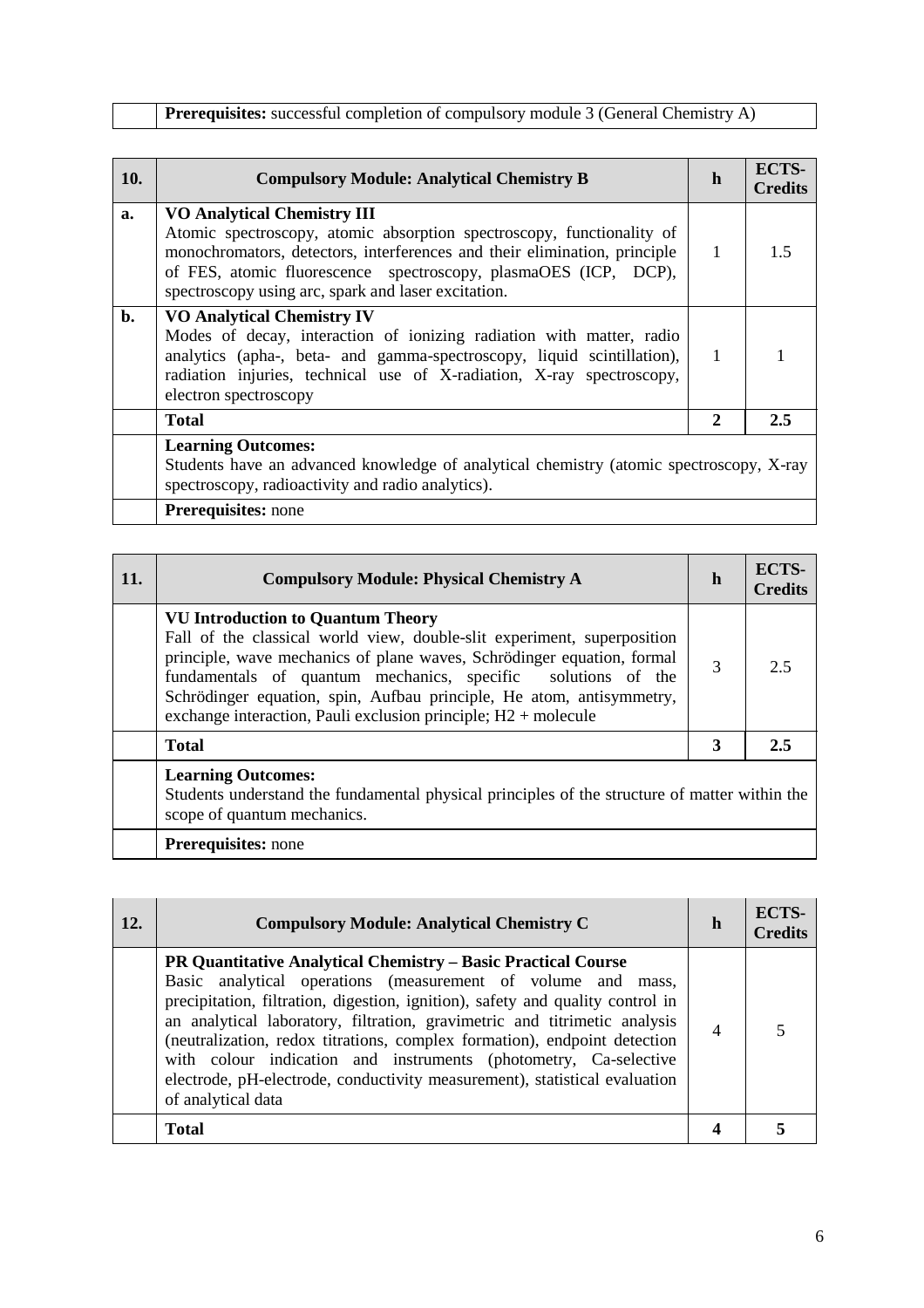**Prerequisites:** successful completion of compulsory module 3 (General Chemistry A)

| a.             | <b>VO Analytical Chemistry III</b><br>Atomic spectroscopy, atomic absorption spectroscopy, functionality of<br>monochromators, detectors, interferences and their elimination, principle<br>of FES, atomic fluorescence spectroscopy, plasmaOES (ICP, DCP),                           | 1            | 15  |
|----------------|---------------------------------------------------------------------------------------------------------------------------------------------------------------------------------------------------------------------------------------------------------------------------------------|--------------|-----|
|                | spectroscopy using arc, spark and laser excitation.                                                                                                                                                                                                                                   |              |     |
| $\mathbf{b}$ . | <b>VO Analytical Chemistry IV</b><br>Modes of decay, interaction of ionizing radiation with matter, radio<br>analytics (apha-, beta- and gamma-spectroscopy, liquid scintillation),<br>radiation injuries, technical use of X-radiation, X-ray spectroscopy,<br>electron spectroscopy | $\mathbf{1}$ |     |
|                | <b>Total</b>                                                                                                                                                                                                                                                                          | 2            | 2.5 |
|                | <b>Learning Outcomes:</b><br>Students have an advanced knowledge of analytical chemistry (atomic spectroscopy, X-ray<br>spectroscopy, radioactivity and radio analytics).<br>Prerequisites: none                                                                                      |              |     |

| 11. | <b>Compulsory Module: Physical Chemistry A</b>                                                                                                                                                                                                                                                                                                                                                            | h | ECTS-<br><b>Credits</b> |
|-----|-----------------------------------------------------------------------------------------------------------------------------------------------------------------------------------------------------------------------------------------------------------------------------------------------------------------------------------------------------------------------------------------------------------|---|-------------------------|
|     | <b>VU Introduction to Quantum Theory</b><br>Fall of the classical world view, double-slit experiment, superposition<br>principle, wave mechanics of plane waves, Schrödinger equation, formal<br>fundamentals of quantum mechanics, specific solutions of the<br>Schrödinger equation, spin, Aufbau principle, He atom, antisymmetry,<br>exchange interaction, Pauli exclusion principle; $H2 +$ molecule | 3 | 2.5                     |
|     | <b>Total</b>                                                                                                                                                                                                                                                                                                                                                                                              | 3 | 2.5                     |
|     | <b>Learning Outcomes:</b><br>Students understand the fundamental physical principles of the structure of matter within the<br>scope of quantum mechanics.                                                                                                                                                                                                                                                 |   |                         |
|     | <b>Prerequisites:</b> none                                                                                                                                                                                                                                                                                                                                                                                |   |                         |

| 12. | <b>Compulsory Module: Analytical Chemistry C</b>                                                                                                                                                                                                                                                                                                                                                                                                                                                                                                         | h | <b>ECTS-</b><br><b>Credits</b> |
|-----|----------------------------------------------------------------------------------------------------------------------------------------------------------------------------------------------------------------------------------------------------------------------------------------------------------------------------------------------------------------------------------------------------------------------------------------------------------------------------------------------------------------------------------------------------------|---|--------------------------------|
|     | <b>PR Quantitative Analytical Chemistry – Basic Practical Course</b><br>Basic analytical operations (measurement of volume and mass,<br>precipitation, filtration, digestion, ignition), safety and quality control in<br>an analytical laboratory, filtration, gravimetric and titrimetic analysis<br>(neutralization, redox titrations, complex formation), endpoint detection<br>with colour indication and instruments (photometry, Ca-selective<br>electrode, pH-electrode, conductivity measurement), statistical evaluation<br>of analytical data |   |                                |
|     | <b>Total</b>                                                                                                                                                                                                                                                                                                                                                                                                                                                                                                                                             |   |                                |
|     |                                                                                                                                                                                                                                                                                                                                                                                                                                                                                                                                                          |   |                                |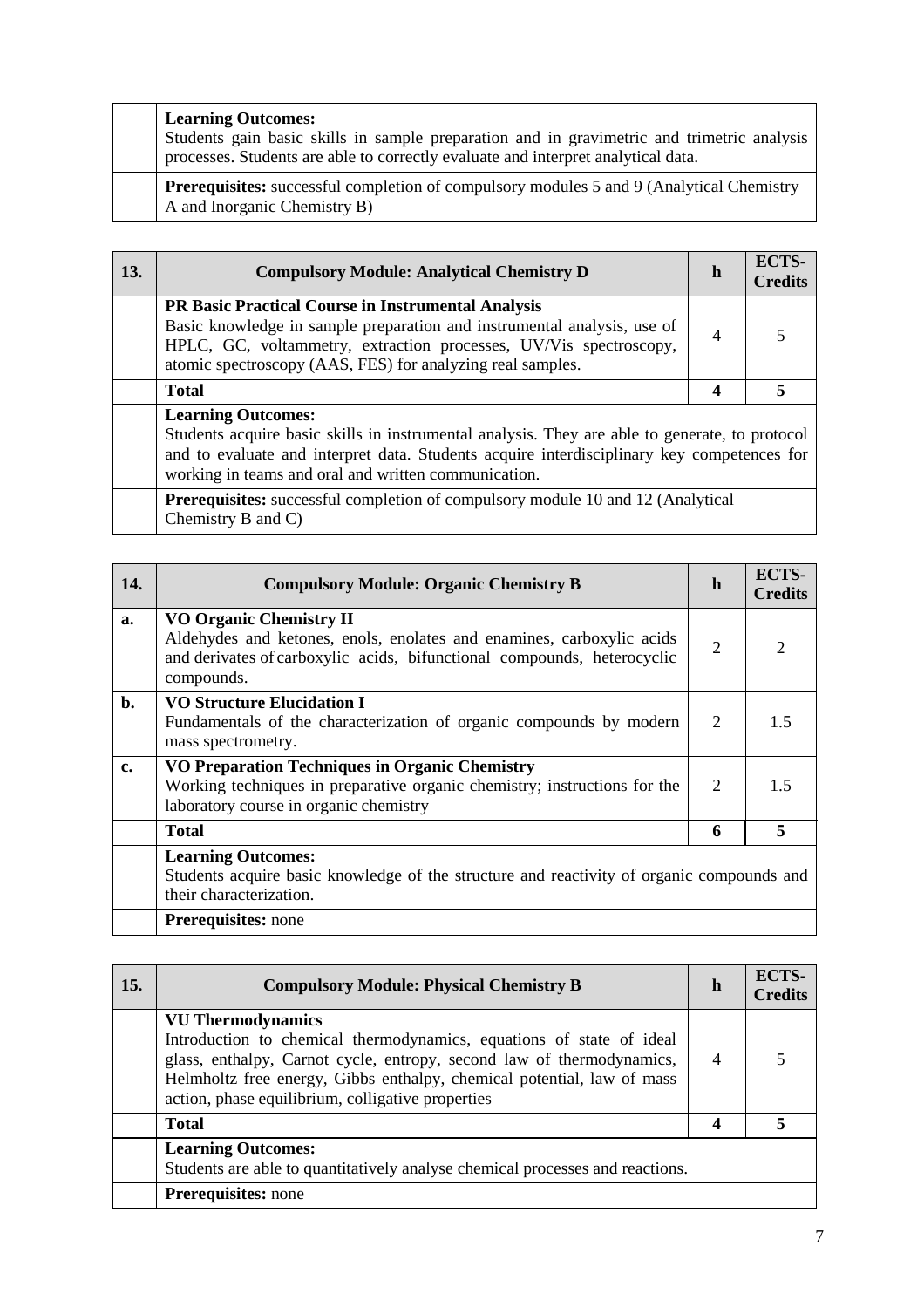| <b>Learning Outcomes:</b><br>Students gain basic skills in sample preparation and in gravimetric and trimetric analysis<br>processes. Students are able to correctly evaluate and interpret analytical data. |
|--------------------------------------------------------------------------------------------------------------------------------------------------------------------------------------------------------------|
| <b>Prerequisites:</b> successful completion of compulsory modules 5 and 9 (Analytical Chemistry<br>A and Inorganic Chemistry B)                                                                              |

| <b>13.</b> | <b>Compulsory Module: Analytical Chemistry D</b>                                                                                                                                                                                                                                  | h | <b>ECTS-</b><br><b>Credits</b> |
|------------|-----------------------------------------------------------------------------------------------------------------------------------------------------------------------------------------------------------------------------------------------------------------------------------|---|--------------------------------|
|            | PR Basic Practical Course in Instrumental Analysis<br>Basic knowledge in sample preparation and instrumental analysis, use of<br>HPLC, GC, voltammetry, extraction processes, UV/Vis spectroscopy,<br>atomic spectroscopy (AAS, FES) for analyzing real samples.                  | 4 | $\overline{5}$                 |
|            | <b>Total</b>                                                                                                                                                                                                                                                                      | 4 | 5                              |
|            | <b>Learning Outcomes:</b><br>Students acquire basic skills in instrumental analysis. They are able to generate, to protocol<br>and to evaluate and interpret data. Students acquire interdisciplinary key competences for<br>working in teams and oral and written communication. |   |                                |
|            | <b>Prerequisites:</b> successful completion of compulsory module 10 and 12 (Analytical<br>Chemistry B and C)                                                                                                                                                                      |   |                                |

| 14.            | <b>Compulsory Module: Organic Chemistry B</b>                                                                                                                                                    | h                           | <b>ECTS-</b><br><b>Credits</b> |
|----------------|--------------------------------------------------------------------------------------------------------------------------------------------------------------------------------------------------|-----------------------------|--------------------------------|
| a.             | <b>VO Organic Chemistry II</b><br>Aldehydes and ketones, enols, enolates and enamines, carboxylic acids<br>and derivates of carboxylic acids, bifunctional compounds, heterocyclic<br>compounds. | 2                           | $\mathcal{D}_{\mathcal{L}}$    |
| $\mathbf{b}$ . | <b>VO Structure Elucidation I</b><br>Fundamentals of the characterization of organic compounds by modern<br>mass spectrometry.                                                                   | 2                           | 1.5                            |
| c.             | VO Preparation Techniques in Organic Chemistry<br>Working techniques in preparative organic chemistry; instructions for the<br>laboratory course in organic chemistry                            | $\mathcal{D}_{\mathcal{L}}$ | 15                             |
|                | <b>Total</b>                                                                                                                                                                                     | 6                           | 5                              |
|                | <b>Learning Outcomes:</b><br>Students acquire basic knowledge of the structure and reactivity of organic compounds and<br>their characterization.                                                |                             |                                |
|                | Prerequisites: none                                                                                                                                                                              |                             |                                |

| <b>15.</b> | <b>Compulsory Module: Physical Chemistry B</b>                                                                                                                                                                                                                                                           | h              | ECTS-<br><b>Credits</b> |
|------------|----------------------------------------------------------------------------------------------------------------------------------------------------------------------------------------------------------------------------------------------------------------------------------------------------------|----------------|-------------------------|
|            | <b>VU Thermodynamics</b><br>Introduction to chemical thermodynamics, equations of state of ideal<br>glass, enthalpy, Carnot cycle, entropy, second law of thermodynamics,<br>Helmholtz free energy, Gibbs enthalpy, chemical potential, law of mass<br>action, phase equilibrium, colligative properties | $\overline{4}$ |                         |
|            | <b>Total</b>                                                                                                                                                                                                                                                                                             |                |                         |
|            | <b>Learning Outcomes:</b><br>Students are able to quantitatively analyse chemical processes and reactions.                                                                                                                                                                                               |                |                         |
|            | <b>Prerequisites:</b> none                                                                                                                                                                                                                                                                               |                |                         |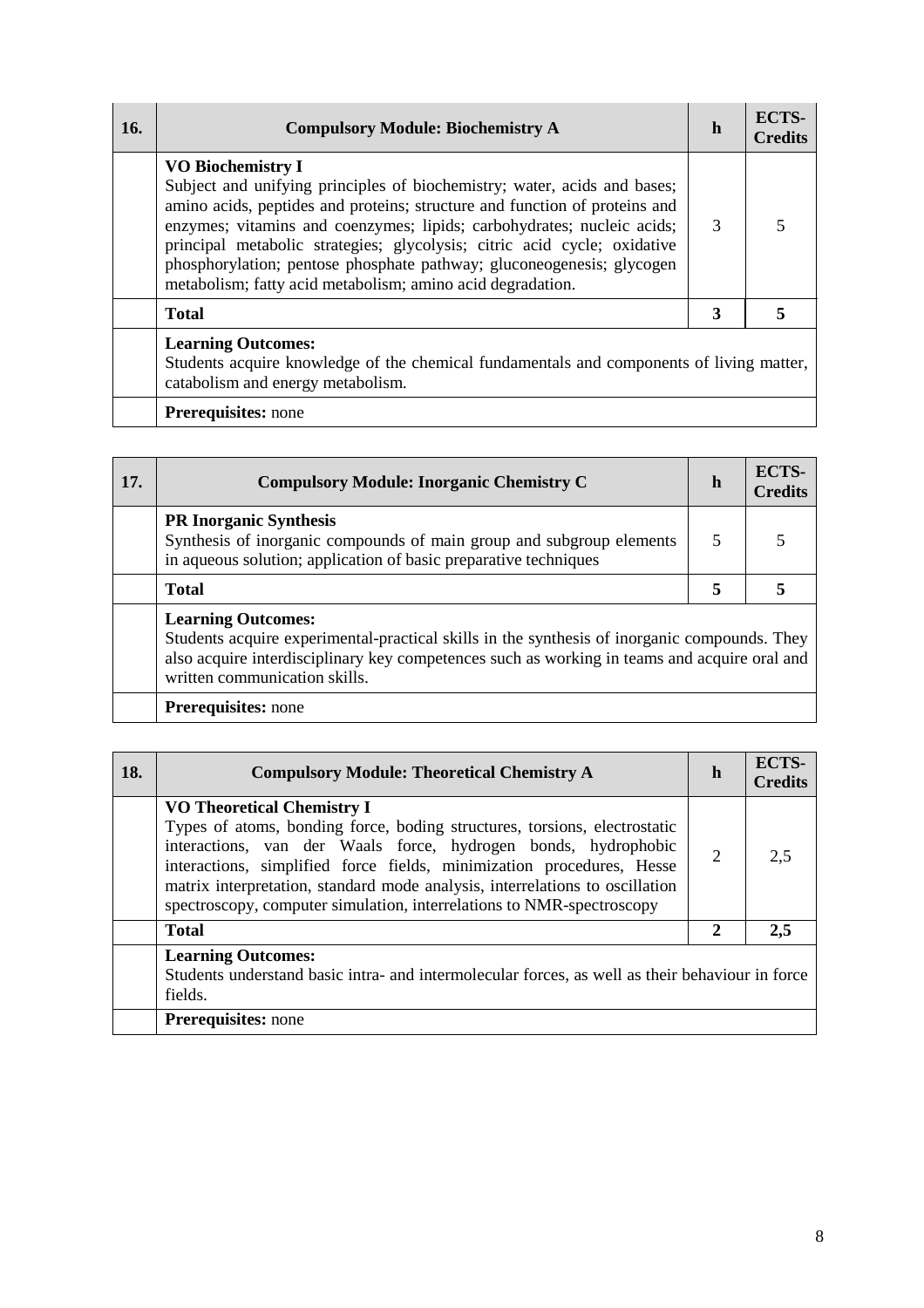| 16. | <b>Compulsory Module: Biochemistry A</b>                                                                                                                                                                                                                                                                                                                                                                                                                                        | h | ECTS-<br><b>Credits</b> |
|-----|---------------------------------------------------------------------------------------------------------------------------------------------------------------------------------------------------------------------------------------------------------------------------------------------------------------------------------------------------------------------------------------------------------------------------------------------------------------------------------|---|-------------------------|
|     | <b>VO Biochemistry I</b><br>Subject and unifying principles of biochemistry; water, acids and bases;<br>amino acids, peptides and proteins; structure and function of proteins and<br>enzymes; vitamins and coenzymes; lipids; carbohydrates; nucleic acids;<br>principal metabolic strategies; glycolysis; citric acid cycle; oxidative<br>phosphorylation; pentose phosphate pathway; gluconeogenesis; glycogen<br>metabolism; fatty acid metabolism; amino acid degradation. | 3 | 5                       |
|     | <b>Total</b>                                                                                                                                                                                                                                                                                                                                                                                                                                                                    | 3 | 5                       |
|     | <b>Learning Outcomes:</b><br>Students acquire knowledge of the chemical fundamentals and components of living matter,<br>catabolism and energy metabolism.                                                                                                                                                                                                                                                                                                                      |   |                         |
|     | <b>Prerequisites:</b> none                                                                                                                                                                                                                                                                                                                                                                                                                                                      |   |                         |

| 17. | <b>Compulsory Module: Inorganic Chemistry C</b>                                                                                                                                                                                                            | h | ECTS-<br><b>Credits</b> |
|-----|------------------------------------------------------------------------------------------------------------------------------------------------------------------------------------------------------------------------------------------------------------|---|-------------------------|
|     | <b>PR Inorganic Synthesis</b><br>Synthesis of inorganic compounds of main group and subgroup elements<br>in aqueous solution; application of basic preparative techniques                                                                                  |   |                         |
|     | <b>Total</b>                                                                                                                                                                                                                                               | 5 |                         |
|     | <b>Learning Outcomes:</b><br>Students acquire experimental-practical skills in the synthesis of inorganic compounds. They<br>also acquire interdisciplinary key competences such as working in teams and acquire oral and<br>written communication skills. |   |                         |
|     | <b>Prerequisites:</b> none                                                                                                                                                                                                                                 |   |                         |

| 18. | <b>Compulsory Module: Theoretical Chemistry A</b>                                                                                                                                                                                                                                                                                                                                                                  | h              | ECTS-<br><b>Credits</b> |
|-----|--------------------------------------------------------------------------------------------------------------------------------------------------------------------------------------------------------------------------------------------------------------------------------------------------------------------------------------------------------------------------------------------------------------------|----------------|-------------------------|
|     | <b>VO Theoretical Chemistry I</b><br>Types of atoms, bonding force, boding structures, torsions, electrostatic<br>interactions, van der Waals force, hydrogen bonds, hydrophobic<br>interactions, simplified force fields, minimization procedures, Hesse<br>matrix interpretation, standard mode analysis, interrelations to oscillation<br>spectroscopy, computer simulation, interrelations to NMR-spectroscopy | $\overline{2}$ | 2.5                     |
|     | <b>Total</b>                                                                                                                                                                                                                                                                                                                                                                                                       | $\mathbf{2}$   | 2.5                     |
|     | <b>Learning Outcomes:</b><br>Students understand basic intra- and intermolecular forces, as well as their behaviour in force<br>fields.                                                                                                                                                                                                                                                                            |                |                         |
|     | <b>Prerequisites:</b> none                                                                                                                                                                                                                                                                                                                                                                                         |                |                         |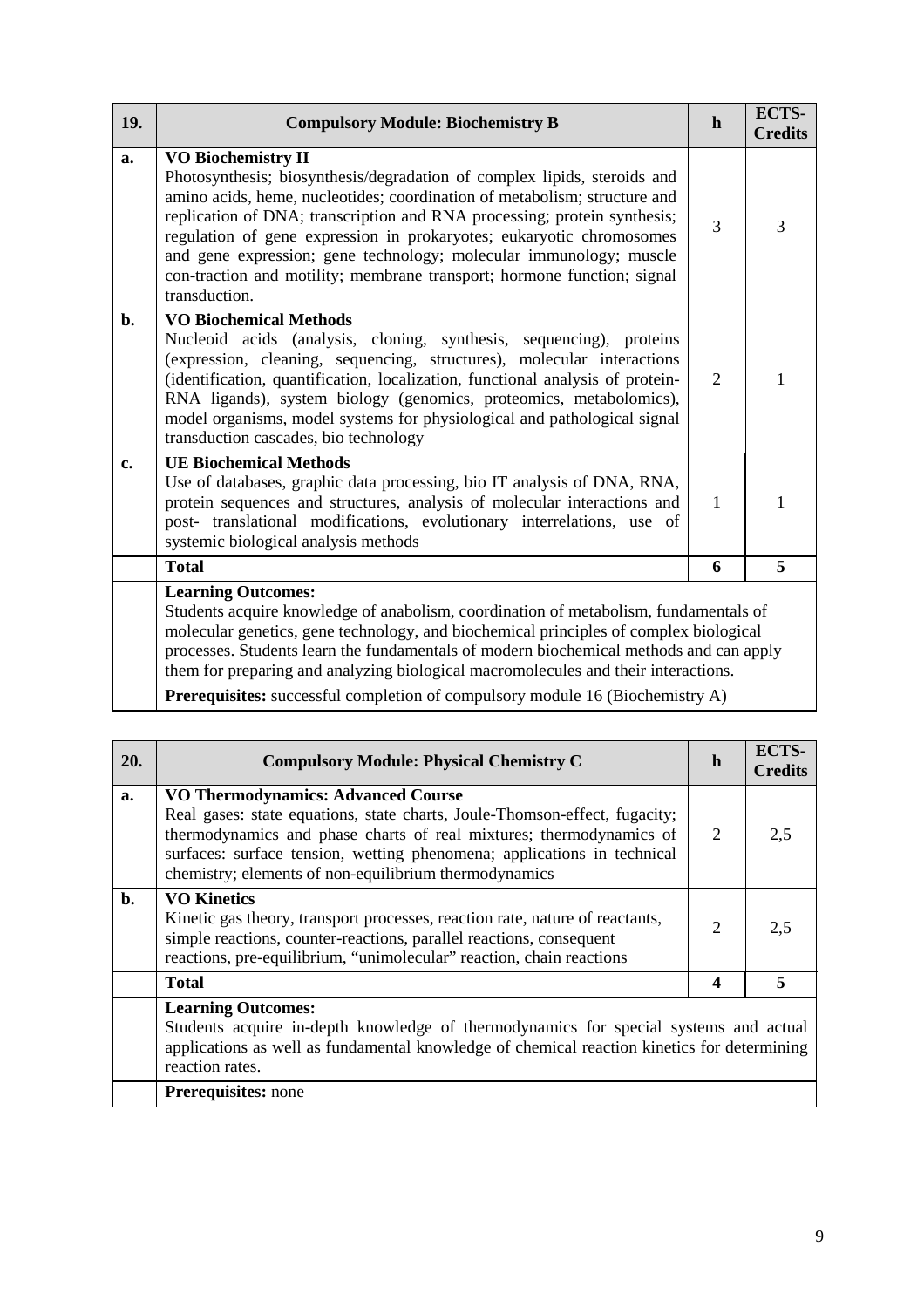| 19. | <b>Compulsory Module: Biochemistry B</b>                                                                                                                                                                                                                                                                                                                                                                                                                                                                 | h | <b>ECTS-</b><br><b>Credits</b> |
|-----|----------------------------------------------------------------------------------------------------------------------------------------------------------------------------------------------------------------------------------------------------------------------------------------------------------------------------------------------------------------------------------------------------------------------------------------------------------------------------------------------------------|---|--------------------------------|
| a.  | <b>VO Biochemistry II</b><br>Photosynthesis; biosynthesis/degradation of complex lipids, steroids and<br>amino acids, heme, nucleotides; coordination of metabolism; structure and<br>replication of DNA; transcription and RNA processing; protein synthesis;<br>regulation of gene expression in prokaryotes; eukaryotic chromosomes<br>and gene expression; gene technology; molecular immunology; muscle<br>con-traction and motility; membrane transport; hormone function; signal<br>transduction. | 3 | 3                              |
| b.  | <b>VO Biochemical Methods</b><br>Nucleoid acids (analysis, cloning, synthesis, sequencing), proteins<br>(expression, cleaning, sequencing, structures), molecular interactions<br>(identification, quantification, localization, functional analysis of protein-<br>RNA ligands), system biology (genomics, proteomics, metabolomics),<br>model organisms, model systems for physiological and pathological signal<br>transduction cascades, bio technology                                              | 2 | 1                              |
| c.  | <b>UE Biochemical Methods</b><br>Use of databases, graphic data processing, bio IT analysis of DNA, RNA,<br>protein sequences and structures, analysis of molecular interactions and<br>post- translational modifications, evolutionary interrelations, use of<br>systemic biological analysis methods                                                                                                                                                                                                   | 1 |                                |
|     | <b>Total</b>                                                                                                                                                                                                                                                                                                                                                                                                                                                                                             | 6 | 5                              |
|     | <b>Learning Outcomes:</b><br>Students acquire knowledge of anabolism, coordination of metabolism, fundamentals of<br>molecular genetics, gene technology, and biochemical principles of complex biological<br>processes. Students learn the fundamentals of modern biochemical methods and can apply<br>them for preparing and analyzing biological macromolecules and their interactions.<br><b>Prerequisites:</b> successful completion of compulsory module 16 (Biochemistry A)                       |   |                                |

|    | <b>Compulsory Module: Physical Chemistry C</b>                                                                                                                                                                                                                                                                                     | h                | <b>Credits</b> |
|----|------------------------------------------------------------------------------------------------------------------------------------------------------------------------------------------------------------------------------------------------------------------------------------------------------------------------------------|------------------|----------------|
| a. | <b>VO Thermodynamics: Advanced Course</b><br>Real gases: state equations, state charts, Joule-Thomson-effect, fugacity;<br>thermodynamics and phase charts of real mixtures; thermodynamics of<br>surfaces: surface tension, wetting phenomena; applications in technical<br>chemistry; elements of non-equilibrium thermodynamics | 2                | 2,5            |
| b. | <b>VO Kinetics</b><br>Kinetic gas theory, transport processes, reaction rate, nature of reactants,<br>simple reactions, counter-reactions, parallel reactions, consequent<br>reactions, pre-equilibrium, "unimolecular" reaction, chain reactions                                                                                  | 2                | 2,5            |
|    | <b>Total</b>                                                                                                                                                                                                                                                                                                                       | $\boldsymbol{4}$ | 5              |
|    | <b>Learning Outcomes:</b><br>Students acquire in-depth knowledge of thermodynamics for special systems and actual<br>applications as well as fundamental knowledge of chemical reaction kinetics for determining<br>reaction rates.<br>Prerequisites: none                                                                         |                  |                |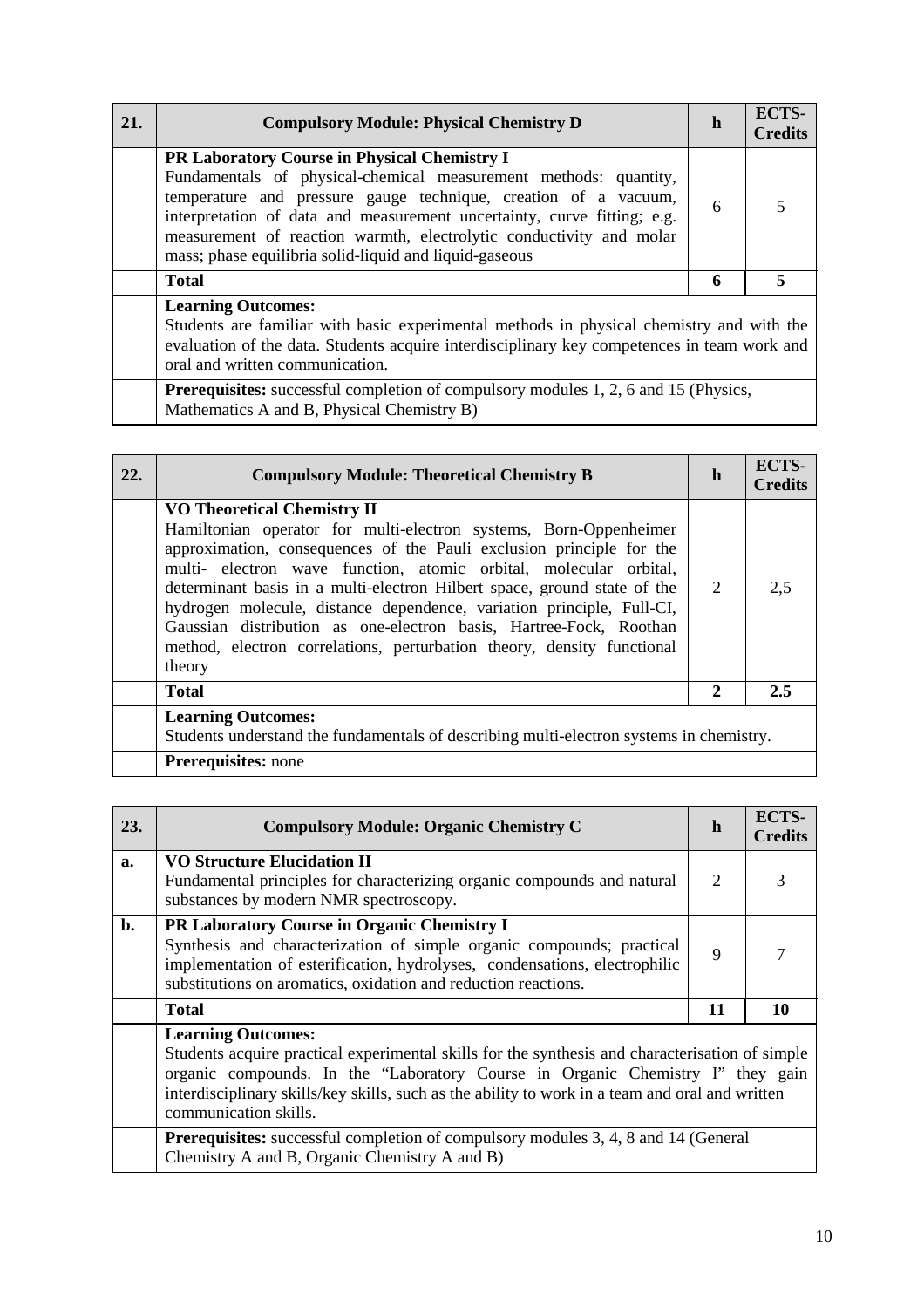| 21. | <b>Compulsory Module: Physical Chemistry D</b>                                                                                                                                                                                                                                                                                                                                                  | h | ECTS-<br><b>Credits</b> |
|-----|-------------------------------------------------------------------------------------------------------------------------------------------------------------------------------------------------------------------------------------------------------------------------------------------------------------------------------------------------------------------------------------------------|---|-------------------------|
|     | PR Laboratory Course in Physical Chemistry I<br>Fundamentals of physical-chemical measurement methods: quantity,<br>temperature and pressure gauge technique, creation of a vacuum,<br>interpretation of data and measurement uncertainty, curve fitting; e.g.<br>measurement of reaction warmth, electrolytic conductivity and molar<br>mass; phase equilibria solid-liquid and liquid-gaseous | 6 |                         |
|     | <b>Total</b>                                                                                                                                                                                                                                                                                                                                                                                    | 6 |                         |
|     | <b>Learning Outcomes:</b><br>Students are familiar with basic experimental methods in physical chemistry and with the<br>evaluation of the data. Students acquire interdisciplinary key competences in team work and<br>oral and written communication.                                                                                                                                         |   |                         |

**Prerequisites:** successful completion of compulsory modules 1, 2, 6 and 15 (Physics, Mathematics A and B, Physical Chemistry B)

| 22. | <b>Compulsory Module: Theoretical Chemistry B</b>                                                                                                                                                                                                                                                                                                                                                                                                                                                                                                                   | h | <b>ECTS-</b><br><b>Credits</b> |
|-----|---------------------------------------------------------------------------------------------------------------------------------------------------------------------------------------------------------------------------------------------------------------------------------------------------------------------------------------------------------------------------------------------------------------------------------------------------------------------------------------------------------------------------------------------------------------------|---|--------------------------------|
|     | <b>VO Theoretical Chemistry II</b><br>Hamiltonian operator for multi-electron systems, Born-Oppenheimer<br>approximation, consequences of the Pauli exclusion principle for the<br>multi- electron wave function, atomic orbital, molecular orbital,<br>determinant basis in a multi-electron Hilbert space, ground state of the<br>hydrogen molecule, distance dependence, variation principle, Full-CI,<br>Gaussian distribution as one-electron basis, Hartree-Fock, Roothan<br>method, electron correlations, perturbation theory, density functional<br>theory | 2 | 2,5                            |
|     | <b>Total</b>                                                                                                                                                                                                                                                                                                                                                                                                                                                                                                                                                        | 2 | 2.5                            |
|     | <b>Learning Outcomes:</b><br>Students understand the fundamentals of describing multi-electron systems in chemistry.                                                                                                                                                                                                                                                                                                                                                                                                                                                |   |                                |
|     | <b>Prerequisites:</b> none                                                                                                                                                                                                                                                                                                                                                                                                                                                                                                                                          |   |                                |

| 23.            | <b>Compulsory Module: Organic Chemistry C</b>                                                                                                                                                                                                                                                                                                                                                                                                                                            | h           | ECTS-<br><b>Credits</b> |
|----------------|------------------------------------------------------------------------------------------------------------------------------------------------------------------------------------------------------------------------------------------------------------------------------------------------------------------------------------------------------------------------------------------------------------------------------------------------------------------------------------------|-------------|-------------------------|
| a.             | <b>VO Structure Elucidation II</b><br>Fundamental principles for characterizing organic compounds and natural<br>substances by modern NMR spectroscopy.                                                                                                                                                                                                                                                                                                                                  | 2           | 3                       |
| $\mathbf{b}$ . | PR Laboratory Course in Organic Chemistry I<br>Synthesis and characterization of simple organic compounds; practical<br>implementation of esterification, hydrolyses, condensations, electrophilic<br>substitutions on aromatics, oxidation and reduction reactions.                                                                                                                                                                                                                     | $\mathbf Q$ | 7                       |
|                | <b>Total</b>                                                                                                                                                                                                                                                                                                                                                                                                                                                                             | 11          | 10                      |
|                | <b>Learning Outcomes:</b><br>Students acquire practical experimental skills for the synthesis and characterisation of simple<br>organic compounds. In the "Laboratory Course in Organic Chemistry I" they gain<br>interdisciplinary skills/key skills, such as the ability to work in a team and oral and written<br>communication skills.<br><b>Prerequisites:</b> successful completion of compulsory modules 3, 4, 8 and 14 (General<br>Chemistry A and B, Organic Chemistry A and B) |             |                         |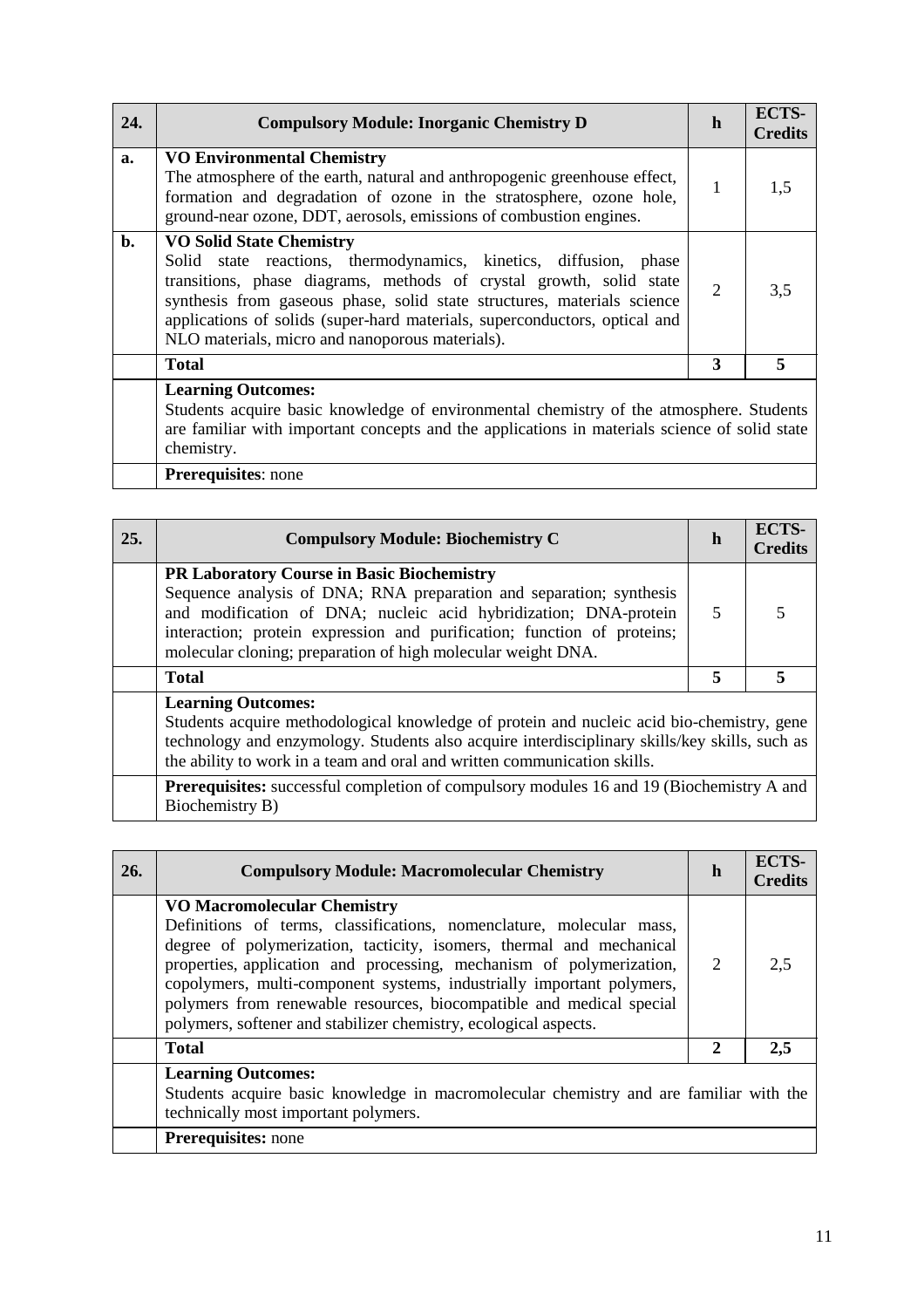| 24.            | <b>Compulsory Module: Inorganic Chemistry D</b>                                                                                                                                                                                                                                                                                                                                         | h              | ECTS-<br><b>Credits</b> |
|----------------|-----------------------------------------------------------------------------------------------------------------------------------------------------------------------------------------------------------------------------------------------------------------------------------------------------------------------------------------------------------------------------------------|----------------|-------------------------|
| a.             | <b>VO Environmental Chemistry</b><br>The atmosphere of the earth, natural and anthropogenic greenhouse effect,<br>formation and degradation of ozone in the stratosphere, ozone hole,<br>ground-near ozone, DDT, aerosols, emissions of combustion engines.                                                                                                                             | 1              | 1,5                     |
| $\mathbf{b}$ . | <b>VO Solid State Chemistry</b><br>Solid state reactions, thermodynamics, kinetics, diffusion, phase<br>transitions, phase diagrams, methods of crystal growth, solid state<br>synthesis from gaseous phase, solid state structures, materials science<br>applications of solids (super-hard materials, superconductors, optical and<br>NLO materials, micro and nanoporous materials). | $\overline{2}$ | 3,5                     |
|                | <b>Total</b>                                                                                                                                                                                                                                                                                                                                                                            | 3              | 5                       |
|                | <b>Learning Outcomes:</b><br>Students acquire basic knowledge of environmental chemistry of the atmosphere. Students<br>are familiar with important concepts and the applications in materials science of solid state<br>chemistry.                                                                                                                                                     |                |                         |

**Prerequisites**: none

| 25. | <b>Compulsory Module: Biochemistry C</b>                                                                                                                                                                                                                                                                                                | h | <b>ECTS-</b><br><b>Credits</b> |
|-----|-----------------------------------------------------------------------------------------------------------------------------------------------------------------------------------------------------------------------------------------------------------------------------------------------------------------------------------------|---|--------------------------------|
|     | <b>PR Laboratory Course in Basic Biochemistry</b><br>Sequence analysis of DNA; RNA preparation and separation; synthesis<br>and modification of DNA; nucleic acid hybridization; DNA-protein<br>interaction; protein expression and purification; function of proteins;<br>molecular cloning; preparation of high molecular weight DNA. | 5 |                                |
|     | <b>Total</b>                                                                                                                                                                                                                                                                                                                            | 5 | 5                              |
|     | <b>Learning Outcomes:</b><br>Students acquire methodological knowledge of protein and nucleic acid bio-chemistry, gene<br>technology and enzymology. Students also acquire interdisciplinary skills/key skills, such as<br>the ability to work in a team and oral and written communication skills.                                     |   |                                |
|     | Prerequisites: successful completion of compulsory modules 16 and 19 (Biochemistry A and<br>Biochemistry B)                                                                                                                                                                                                                             |   |                                |

| 26. | <b>Compulsory Module: Macromolecular Chemistry</b>                                                                                                                                                                                                                                                                                                                                                                                                                              | h | <b>ECTS-</b><br><b>Credits</b> |
|-----|---------------------------------------------------------------------------------------------------------------------------------------------------------------------------------------------------------------------------------------------------------------------------------------------------------------------------------------------------------------------------------------------------------------------------------------------------------------------------------|---|--------------------------------|
|     | <b>VO Macromolecular Chemistry</b><br>Definitions of terms, classifications, nomenclature, molecular mass,<br>degree of polymerization, tacticity, isomers, thermal and mechanical<br>properties, application and processing, mechanism of polymerization,<br>copolymers, multi-component systems, industrially important polymers,<br>polymers from renewable resources, biocompatible and medical special<br>polymers, softener and stabilizer chemistry, ecological aspects. | 2 | 2.5                            |
|     | <b>Total</b>                                                                                                                                                                                                                                                                                                                                                                                                                                                                    | 2 | 2,5                            |
|     | <b>Learning Outcomes:</b><br>Students acquire basic knowledge in macromolecular chemistry and are familiar with the<br>technically most important polymers.                                                                                                                                                                                                                                                                                                                     |   |                                |
|     | <b>Prerequisites:</b> none                                                                                                                                                                                                                                                                                                                                                                                                                                                      |   |                                |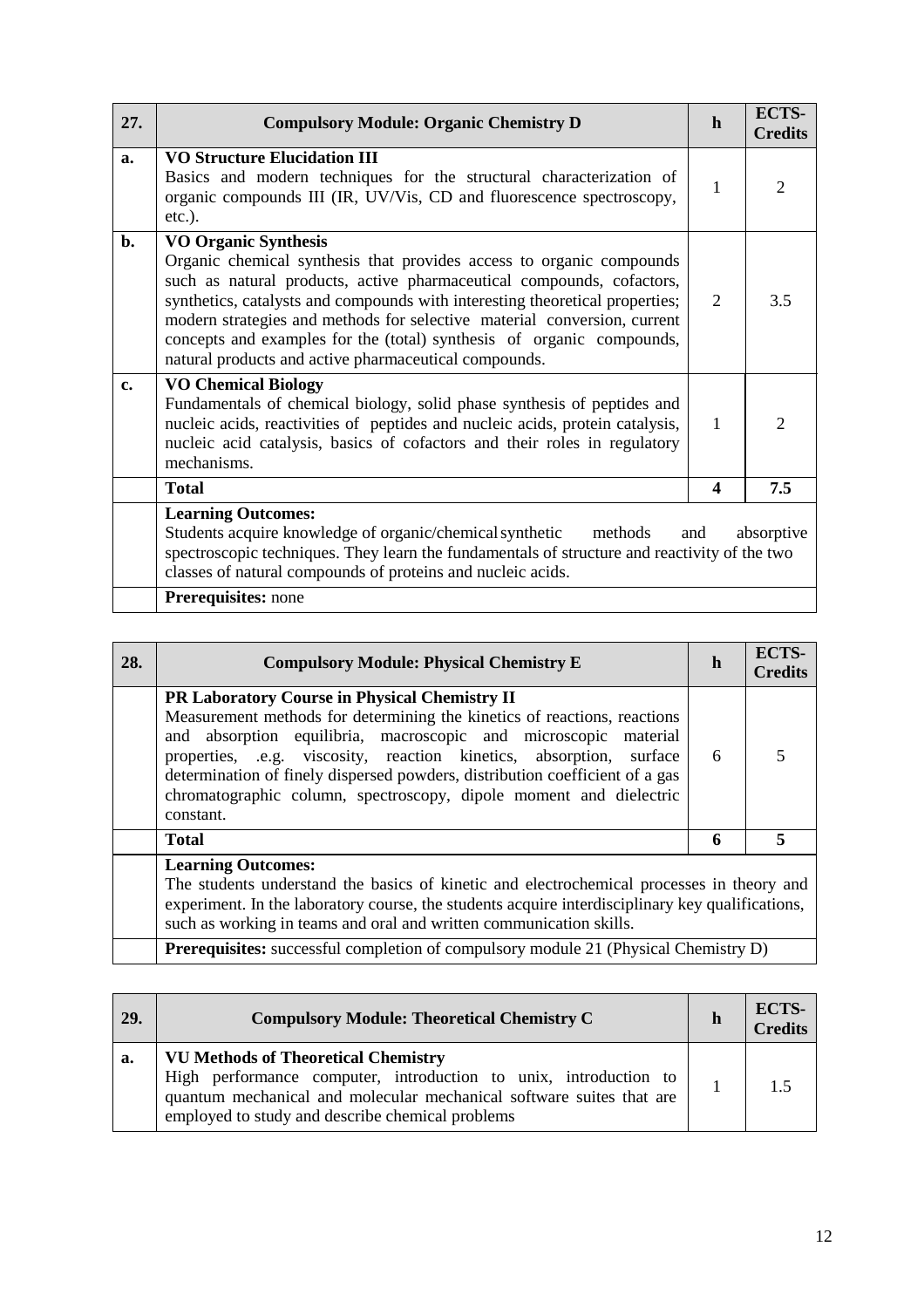| 27.            | <b>Compulsory Module: Organic Chemistry D</b>                                                                                                                                                                                                                                                                                                                                                                                                                              | h                           | ECTS-<br><b>Credits</b>     |
|----------------|----------------------------------------------------------------------------------------------------------------------------------------------------------------------------------------------------------------------------------------------------------------------------------------------------------------------------------------------------------------------------------------------------------------------------------------------------------------------------|-----------------------------|-----------------------------|
| a.             | <b>VO Structure Elucidation III</b><br>Basics and modern techniques for the structural characterization of<br>organic compounds III (IR, UV/Vis, CD and fluorescence spectroscopy,<br>$etc.$ ).                                                                                                                                                                                                                                                                            | 1                           | 2                           |
| $\mathbf{b}$ . | <b>VO Organic Synthesis</b><br>Organic chemical synthesis that provides access to organic compounds<br>such as natural products, active pharmaceutical compounds, cofactors,<br>synthetics, catalysts and compounds with interesting theoretical properties;<br>modern strategies and methods for selective material conversion, current<br>concepts and examples for the (total) synthesis of organic compounds,<br>natural products and active pharmaceutical compounds. | $\mathcal{D}_{\mathcal{L}}$ | 3.5                         |
| c.             | <b>VO Chemical Biology</b><br>Fundamentals of chemical biology, solid phase synthesis of peptides and<br>nucleic acids, reactivities of peptides and nucleic acids, protein catalysis,<br>nucleic acid catalysis, basics of cofactors and their roles in regulatory<br>mechanisms.                                                                                                                                                                                         | $\mathbf{1}$                | $\mathcal{D}_{\mathcal{L}}$ |
|                | <b>Total</b>                                                                                                                                                                                                                                                                                                                                                                                                                                                               | $\boldsymbol{4}$            | 7.5                         |
|                | <b>Learning Outcomes:</b><br>Students acquire knowledge of organic/chemical synthetic methods<br>absorptive<br>and<br>spectroscopic techniques. They learn the fundamentals of structure and reactivity of the two<br>classes of natural compounds of proteins and nucleic acids.<br>Prerequisites: none                                                                                                                                                                   |                             |                             |

| 28. | <b>Compulsory Module: Physical Chemistry E</b>                                                                                                                                                                                                                                                                                                                                                                                                | h | <b>ECTS-</b><br><b>Credits</b> |
|-----|-----------------------------------------------------------------------------------------------------------------------------------------------------------------------------------------------------------------------------------------------------------------------------------------------------------------------------------------------------------------------------------------------------------------------------------------------|---|--------------------------------|
|     | <b>PR Laboratory Course in Physical Chemistry II</b><br>Measurement methods for determining the kinetics of reactions, reactions<br>and absorption equilibria, macroscopic and microscopic material<br>properties, .e.g. viscosity, reaction kinetics, absorption, surface<br>determination of finely dispersed powders, distribution coefficient of a gas<br>chromatographic column, spectroscopy, dipole moment and dielectric<br>constant. | 6 |                                |
|     | <b>Total</b>                                                                                                                                                                                                                                                                                                                                                                                                                                  | 6 | 5                              |
|     | <b>Learning Outcomes:</b><br>The students understand the basics of kinetic and electrochemical processes in theory and<br>experiment. In the laboratory course, the students acquire interdisciplinary key qualifications,<br>such as working in teams and oral and written communication skills.                                                                                                                                             |   |                                |
|     | <b>Prerequisites:</b> successful completion of compulsory module 21 (Physical Chemistry D)                                                                                                                                                                                                                                                                                                                                                    |   |                                |

| 29. | <b>Compulsory Module: Theoretical Chemistry C</b>                                                                                                                                                                                          | h | ECTS-<br><b>Credits</b> |
|-----|--------------------------------------------------------------------------------------------------------------------------------------------------------------------------------------------------------------------------------------------|---|-------------------------|
| a.  | <b>VU Methods of Theoretical Chemistry</b><br>High performance computer, introduction to unix, introduction to<br>quantum mechanical and molecular mechanical software suites that are<br>employed to study and describe chemical problems |   |                         |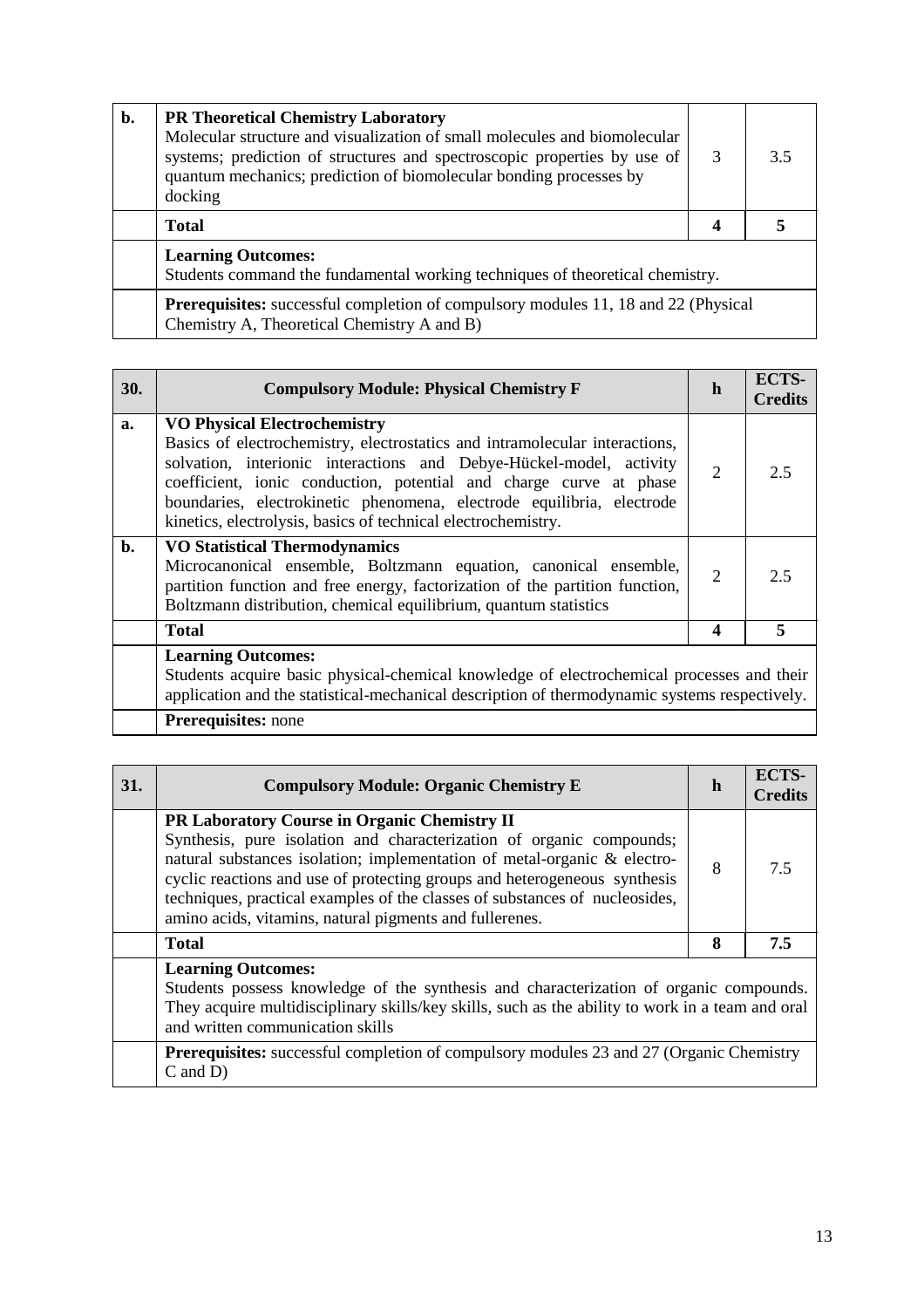| $\mathbf{b}$ . | <b>PR Theoretical Chemistry Laboratory</b><br>Molecular structure and visualization of small molecules and biomolecular<br>systems; prediction of structures and spectroscopic properties by use of<br>quantum mechanics; prediction of biomolecular bonding processes by<br>docking | 3 | 3.5 |
|----------------|--------------------------------------------------------------------------------------------------------------------------------------------------------------------------------------------------------------------------------------------------------------------------------------|---|-----|
|                | <b>Total</b>                                                                                                                                                                                                                                                                         |   |     |
|                | <b>Learning Outcomes:</b><br>Students command the fundamental working techniques of theoretical chemistry.                                                                                                                                                                           |   |     |
|                | <b>Prerequisites:</b> successful completion of compulsory modules 11, 18 and 22 (Physical<br>Chemistry A, Theoretical Chemistry A and B)                                                                                                                                             |   |     |

|    |                                                                                                                                                                                                                                                                                                                                                                                                           | h                           | <b>Credits</b> |
|----|-----------------------------------------------------------------------------------------------------------------------------------------------------------------------------------------------------------------------------------------------------------------------------------------------------------------------------------------------------------------------------------------------------------|-----------------------------|----------------|
| a. | <b>VO Physical Electrochemistry</b><br>Basics of electrochemistry, electrostatics and intramolecular interactions,<br>solvation, interionic interactions and Debye-Hückel-model, activity<br>coefficient, ionic conduction, potential and charge curve at phase<br>boundaries, electrokinetic phenomena, electrode equilibria, electrode<br>kinetics, electrolysis, basics of technical electrochemistry. | $\mathcal{D}_{\mathcal{L}}$ | 2.5            |
| b. | <b>VO Statistical Thermodynamics</b><br>Microcanonical ensemble, Boltzmann equation, canonical ensemble,<br>partition function and free energy, factorization of the partition function,<br>Boltzmann distribution, chemical equilibrium, quantum statistics                                                                                                                                              | 2                           | 2.5            |
|    | <b>Total</b>                                                                                                                                                                                                                                                                                                                                                                                              | 4                           | 5              |
|    | <b>Learning Outcomes:</b><br>Students acquire basic physical-chemical knowledge of electrochemical processes and their<br>application and the statistical-mechanical description of thermodynamic systems respectively.<br><b>Prerequisites:</b> none                                                                                                                                                     |                             |                |

| 31. | <b>Compulsory Module: Organic Chemistry E</b>                                                                                                                                                                                                                                                                                                                                                                           | h | <b>ECTS-</b><br><b>Credits</b> |
|-----|-------------------------------------------------------------------------------------------------------------------------------------------------------------------------------------------------------------------------------------------------------------------------------------------------------------------------------------------------------------------------------------------------------------------------|---|--------------------------------|
|     | PR Laboratory Course in Organic Chemistry II<br>Synthesis, pure isolation and characterization of organic compounds;<br>natural substances isolation; implementation of metal-organic & electro-<br>cyclic reactions and use of protecting groups and heterogeneous synthesis<br>techniques, practical examples of the classes of substances of nucleosides,<br>amino acids, vitamins, natural pigments and fullerenes. | 8 | 7.5                            |
|     | <b>Total</b>                                                                                                                                                                                                                                                                                                                                                                                                            | 8 | 7.5                            |
|     | <b>Learning Outcomes:</b><br>Students possess knowledge of the synthesis and characterization of organic compounds.<br>They acquire multidisciplinary skills/key skills, such as the ability to work in a team and oral<br>and written communication skills                                                                                                                                                             |   |                                |
|     | <b>Prerequisites:</b> successful completion of compulsory modules 23 and 27 (Organic Chemistry<br>$C$ and $D$ )                                                                                                                                                                                                                                                                                                         |   |                                |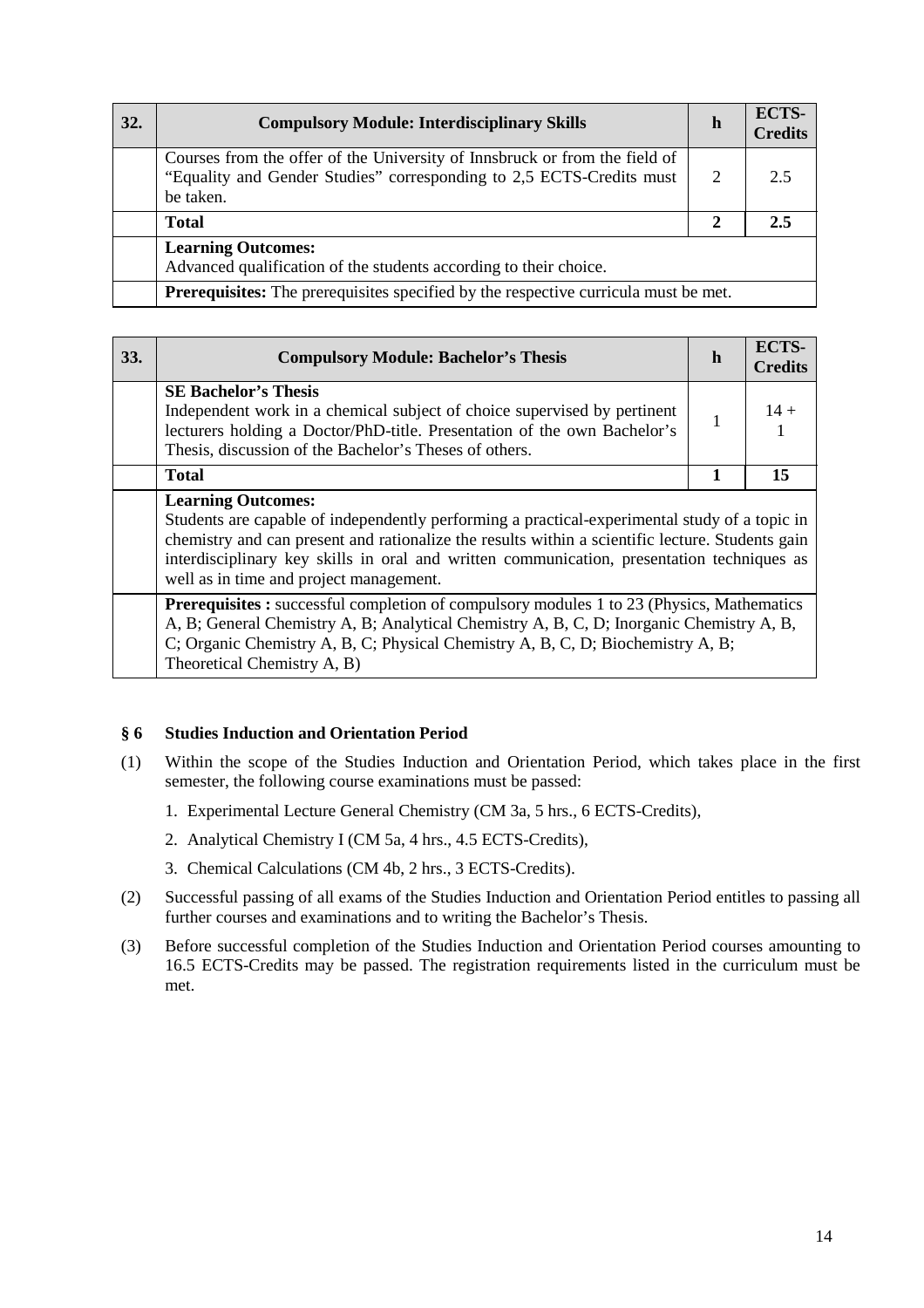| 32. | <b>Compulsory Module: Interdisciplinary Skills</b>                                                                                                              | h            | ECTS-<br><b>Credits</b> |
|-----|-----------------------------------------------------------------------------------------------------------------------------------------------------------------|--------------|-------------------------|
|     | Courses from the offer of the University of Innsbruck or from the field of<br>"Equality and Gender Studies" corresponding to 2,5 ECTS-Credits must<br>be taken. | 2            | 2.5                     |
|     | <b>Total</b>                                                                                                                                                    | $\mathbf{2}$ | 2.5                     |
|     | <b>Learning Outcomes:</b><br>Advanced qualification of the students according to their choice.                                                                  |              |                         |
|     | <b>Prerequisites:</b> The prerequisites specified by the respective curricula must be met.                                                                      |              |                         |

| <b>33.</b> | <b>Compulsory Module: Bachelor's Thesis</b>                                                                                                                                                                                                                                                                                                                             | h | ECTS-<br><b>Credits</b> |
|------------|-------------------------------------------------------------------------------------------------------------------------------------------------------------------------------------------------------------------------------------------------------------------------------------------------------------------------------------------------------------------------|---|-------------------------|
|            | <b>SE Bachelor's Thesis</b><br>Independent work in a chemical subject of choice supervised by pertinent<br>lecturers holding a Doctor/PhD-title. Presentation of the own Bachelor's<br>Thesis, discussion of the Bachelor's Theses of others.                                                                                                                           | 1 | $14 +$                  |
|            | <b>Total</b>                                                                                                                                                                                                                                                                                                                                                            | 1 | 15                      |
|            | <b>Learning Outcomes:</b><br>Students are capable of independently performing a practical-experimental study of a topic in<br>chemistry and can present and rationalize the results within a scientific lecture. Students gain<br>interdisciplinary key skills in oral and written communication, presentation techniques as<br>well as in time and project management. |   |                         |
|            | <b>Prerequisites :</b> successful completion of compulsory modules 1 to 23 (Physics, Mathematics<br>A, B; General Chemistry A, B; Analytical Chemistry A, B, C, D; Inorganic Chemistry A, B,<br>C; Organic Chemistry A, B, C; Physical Chemistry A, B, C, D; Biochemistry A, B;<br>Theoretical Chemistry A, B)                                                          |   |                         |

# **§ 6 Studies Induction and Orientation Period**

- (1) Within the scope of the Studies Induction and Orientation Period, which takes place in the first semester, the following course examinations must be passed:
	- 1. Experimental Lecture General Chemistry (CM 3a, 5 hrs., 6 ECTS-Credits),
	- 2. Analytical Chemistry I (CM 5a, 4 hrs., 4.5 ECTS-Credits),
	- 3. Chemical Calculations (CM 4b, 2 hrs., 3 ECTS-Credits).
- (2) Successful passing of all exams of the Studies Induction and Orientation Period entitles to passing all further courses and examinations and to writing the Bachelor's Thesis.
- (3) Before successful completion of the Studies Induction and Orientation Period courses amounting to 16.5 ECTS-Credits may be passed. The registration requirements listed in the curriculum must be met.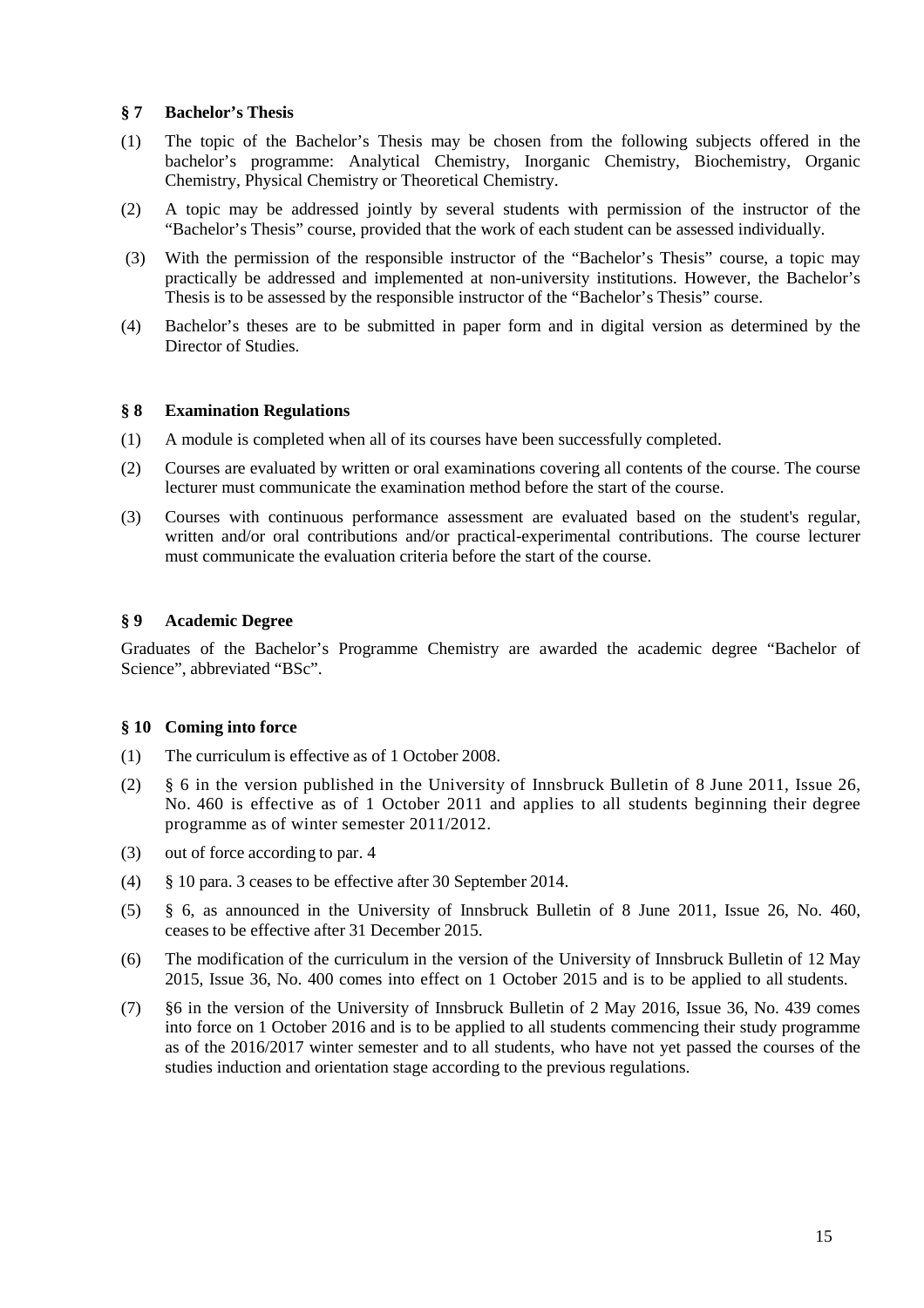#### **§ 7 Bachelor's Thesis**

- (1) The topic of the Bachelor's Thesis may be chosen from the following subjects offered in the bachelor's programme: Analytical Chemistry, Inorganic Chemistry, Biochemistry, Organic Chemistry, Physical Chemistry or Theoretical Chemistry.
- (2) A topic may be addressed jointly by several students with permission of the instructor of the "Bachelor's Thesis" course, provided that the work of each student can be assessed individually.
- (3) With the permission of the responsible instructor of the "Bachelor's Thesis" course, a topic may practically be addressed and implemented at non-university institutions. However, the Bachelor's Thesis is to be assessed by the responsible instructor of the "Bachelor's Thesis" course.
- (4) Bachelor's theses are to be submitted in paper form and in digital version as determined by the Director of Studies.

## **§ 8 Examination Regulations**

- (1) A module is completed when all of its courses have been successfully completed.
- (2) Courses are evaluated by written or oral examinations covering all contents of the course. The course lecturer must communicate the examination method before the start of the course.
- (3) Courses with continuous performance assessment are evaluated based on the student's regular, written and/or oral contributions and/or practical-experimental contributions. The course lecturer must communicate the evaluation criteria before the start of the course.

## **§ 9 Academic Degree**

Graduates of the Bachelor's Programme Chemistry are awarded the academic degree "Bachelor of Science", abbreviated "BSc".

#### **§ 10 Coming into force**

- (1) The curriculum is effective as of 1 October 2008.
- (2) § 6 in the version published in the University of Innsbruck Bulletin of 8 June 2011, Issue 26, No. 460 is effective as of 1 October 2011 and applies to all students beginning their degree programme as of winter semester 2011/2012.
- (3) out of force according to par. 4
- (4) § 10 para. 3 ceases to be effective after 30 September 2014.
- (5) § 6, as announced in the University of Innsbruck Bulletin of 8 June 2011, Issue 26, No. 460, ceases to be effective after 31 December 2015.
- (6) The modification of the curriculum in the version of the University of Innsbruck Bulletin of 12 May 2015, Issue 36, No. 400 comes into effect on 1 October 2015 and is to be applied to all students.
- (7) §6 in the version of the University of Innsbruck Bulletin of 2 May 2016, Issue 36, No. 439 comes into force on 1 October 2016 and is to be applied to all students commencing their study programme as of the 2016/2017 winter semester and to all students, who have not yet passed the courses of the studies induction and orientation stage according to the previous regulations.